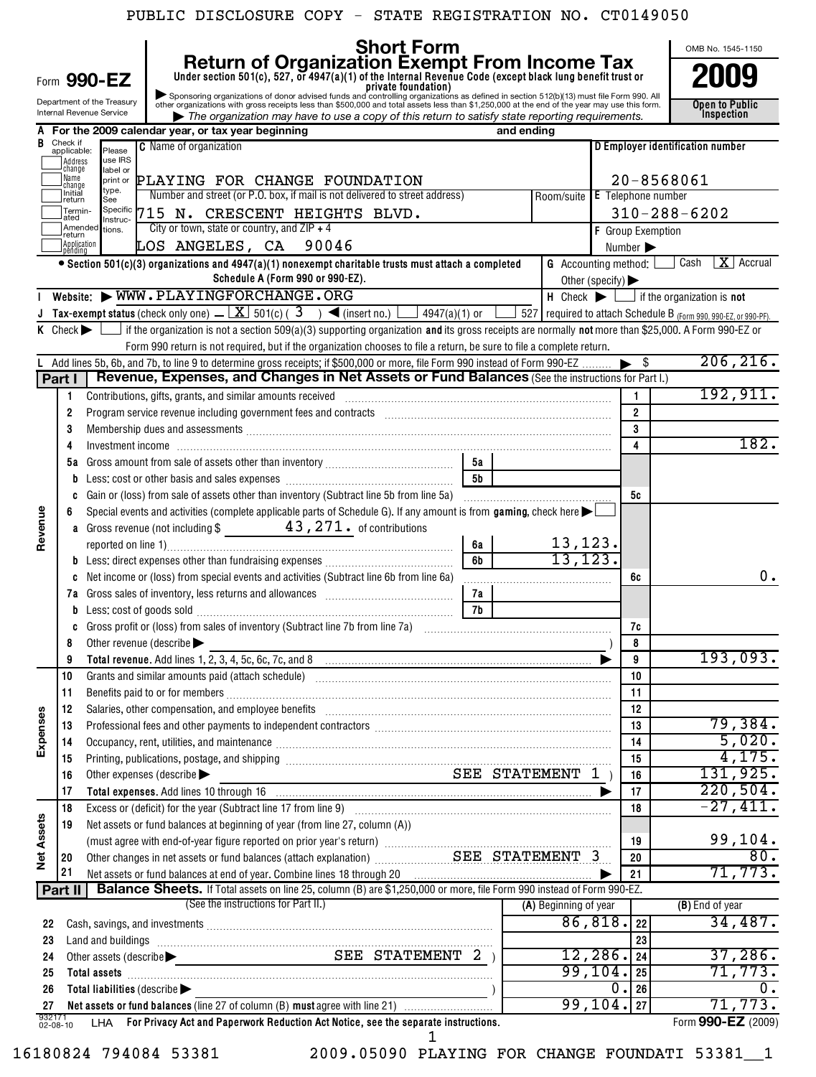PUBLIC DISCLOSURE COPY - STATE REGISTRATION NO. CT0149050

|                    |                                    |                                                        |                                                                                                                                                                                                                                                                                                                                                         | <b>Short Form</b>                                                                                                                                                 |                 |            |            |                                                                      |                          |                | OMB No. 1545-1150                                                |
|--------------------|------------------------------------|--------------------------------------------------------|---------------------------------------------------------------------------------------------------------------------------------------------------------------------------------------------------------------------------------------------------------------------------------------------------------------------------------------------------------|-------------------------------------------------------------------------------------------------------------------------------------------------------------------|-----------------|------------|------------|----------------------------------------------------------------------|--------------------------|----------------|------------------------------------------------------------------|
|                    |                                    | Form 990-EZ                                            |                                                                                                                                                                                                                                                                                                                                                         | <b>Return of Organization Exempt From Income Tax</b><br>Under section 501(c), 527, or 4947(a)(1) of the Internal Revenue Code (except black lung benefit trust or |                 |            |            |                                                                      |                          |                | 2009                                                             |
|                    |                                    | Department of the Treasury<br>Internal Revenue Service | Sponsoring organizations of donor advised funds and controlling organizations as defined in section 512(b)(13) must file Form 990. All<br>Sponsoring organizations of donor advised funds and controlling organizations as define                                                                                                                       |                                                                                                                                                                   |                 |            |            |                                                                      |                          |                | Open to Public                                                   |
|                    |                                    |                                                        | For the 2009 calendar year, or tax year beginning                                                                                                                                                                                                                                                                                                       | The organization may have to use a copy of this return to satisfy state reporting requirements.                                                                   |                 |            | and ending |                                                                      |                          |                | Inspection                                                       |
| B                  | Check if                           | Please                                                 | <b>C</b> Name of organization                                                                                                                                                                                                                                                                                                                           |                                                                                                                                                                   |                 |            |            |                                                                      |                          |                | D Employer identification number                                 |
|                    | applicable:<br>]Address<br>_change | use IRS                                                |                                                                                                                                                                                                                                                                                                                                                         |                                                                                                                                                                   |                 |            |            |                                                                      |                          |                |                                                                  |
|                    | Mame<br>_change                    | label or<br>print or                                   | PLAYING FOR CHANGE FOUNDATION                                                                                                                                                                                                                                                                                                                           |                                                                                                                                                                   |                 |            |            |                                                                      |                          |                | $20 - 8568061$                                                   |
|                    | ]InitiăI<br>]return                | type.<br>See                                           | Number and street (or P.O. box, if mail is not delivered to street address)                                                                                                                                                                                                                                                                             |                                                                                                                                                                   |                 |            |            | Room/suite E Telephone number                                        |                          |                |                                                                  |
|                    | Termin-<br>ated                    | Specific<br>Instruc-                                   | 715 N. CRESCENT HEIGHTS BLVD.                                                                                                                                                                                                                                                                                                                           |                                                                                                                                                                   |                 |            |            |                                                                      |                          |                | $310 - 288 - 6202$                                               |
|                    |                                    | Amended tions.                                         | City or town, state or country, and $ZIP + 4$                                                                                                                                                                                                                                                                                                           |                                                                                                                                                                   |                 |            |            |                                                                      | <b>F</b> Group Exemption |                |                                                                  |
|                    | Application<br>  pending           |                                                        | LOS ANGELES, CA 90046                                                                                                                                                                                                                                                                                                                                   |                                                                                                                                                                   |                 |            |            |                                                                      | Number >                 |                |                                                                  |
|                    |                                    |                                                        | • Section 501(c)(3) organizations and 4947(a)(1) nonexempt charitable trusts must attach a completed<br>Schedule A (Form 990 or 990-EZ).                                                                                                                                                                                                                |                                                                                                                                                                   |                 |            |            | <b>G</b> Accounting method:<br>Other (specify) $\blacktriangleright$ |                          |                | Cash<br>$\vert X \vert$ Accrual                                  |
|                    |                                    |                                                        | Website: WWW.PLAYINGFORCHANGE.ORG                                                                                                                                                                                                                                                                                                                       |                                                                                                                                                                   |                 |            |            | $H$ Check $\blacktriangleright$                                      |                          |                | if the organization is not                                       |
|                    |                                    |                                                        | Tax-exempt status (check only one) $\angle$ $\boxed{\mathbf{X}}$ 501(c) (3) $\blacktriangleleft$ (insert no.)                                                                                                                                                                                                                                           |                                                                                                                                                                   | $4947(a)(1)$ or |            |            |                                                                      |                          |                | 527 required to attach Schedule B (Form 990, 990-EZ, or 990-PF). |
| K                  | Check $\blacktriangleright$        |                                                        | if the organization is not a section 509(a)(3) supporting organization and its gross receipts are normally not more than \$25,000. A Form 990-EZ or                                                                                                                                                                                                     |                                                                                                                                                                   |                 |            |            |                                                                      |                          |                |                                                                  |
|                    |                                    |                                                        | Form 990 return is not required, but if the organization chooses to file a return, be sure to file a complete return.                                                                                                                                                                                                                                   |                                                                                                                                                                   |                 |            |            |                                                                      |                          |                |                                                                  |
|                    | Part I                             |                                                        | L Add lines 5b, 6b, and 7b, to line 9 to determine gross receipts; if \$500,000 or more, file Form 990 instead of Form 990-EZ<br>Revenue, Expenses, and Changes in Net Assets or Fund Balances (See the instructions for Part I.)                                                                                                                       |                                                                                                                                                                   |                 |            |            |                                                                      |                          | \$             | 206, 216.                                                        |
|                    | 1                                  |                                                        | Contributions, gifts, grants, and similar amounts received                                                                                                                                                                                                                                                                                              |                                                                                                                                                                   |                 |            |            |                                                                      |                          | 1              | 192, 911.                                                        |
|                    | 2                                  |                                                        | Program service revenue including government fees and contracts [11, 11] [11] The service revenues including the state of the state of the state of the state of the state of the state of the state of the state of the state                                                                                                                          |                                                                                                                                                                   |                 |            |            |                                                                      |                          | $\overline{2}$ |                                                                  |
|                    | 3                                  |                                                        | Membership dues and assessments [111] Membership and assessments [11] Membership dues and assessments [11] Membership and assessments [11] Membership and assessments [11] Membership and a state of the state of the state of                                                                                                                          |                                                                                                                                                                   |                 |            |            |                                                                      |                          | 3              |                                                                  |
|                    | 4                                  |                                                        |                                                                                                                                                                                                                                                                                                                                                         |                                                                                                                                                                   |                 |            |            |                                                                      |                          | 4              | 182.                                                             |
|                    | 5а                                 |                                                        |                                                                                                                                                                                                                                                                                                                                                         |                                                                                                                                                                   |                 | 5а         |            |                                                                      |                          |                |                                                                  |
|                    | b                                  |                                                        |                                                                                                                                                                                                                                                                                                                                                         |                                                                                                                                                                   |                 | 5 <b>b</b> |            |                                                                      |                          |                |                                                                  |
|                    | C                                  |                                                        | Gain or (loss) from sale of assets other than inventory (Subtract line 5b from line 5a)                                                                                                                                                                                                                                                                 |                                                                                                                                                                   |                 |            |            |                                                                      |                          | 5с             |                                                                  |
|                    | 6                                  |                                                        | Special events and activities (complete applicable parts of Schedule G). If any amount is from gaming, check here $\blacktriangleright$                                                                                                                                                                                                                 |                                                                                                                                                                   |                 |            |            |                                                                      |                          |                |                                                                  |
| Revenue            | a                                  |                                                        | Gross revenue (not including $\frac{271}{100}$ of contributions                                                                                                                                                                                                                                                                                         |                                                                                                                                                                   |                 |            |            |                                                                      |                          |                |                                                                  |
|                    |                                    |                                                        |                                                                                                                                                                                                                                                                                                                                                         |                                                                                                                                                                   |                 | 6а<br>6b   |            | 13,123.<br>13.123                                                    |                          |                |                                                                  |
|                    | b<br>C                             |                                                        | Net income or (loss) from special events and activities (Subtract line 6b from line 6a)                                                                                                                                                                                                                                                                 |                                                                                                                                                                   |                 |            |            |                                                                      |                          | 6с             | 0.                                                               |
|                    | 7а                                 |                                                        |                                                                                                                                                                                                                                                                                                                                                         |                                                                                                                                                                   |                 | .<br>7a    |            |                                                                      |                          |                |                                                                  |
|                    | b                                  |                                                        |                                                                                                                                                                                                                                                                                                                                                         |                                                                                                                                                                   |                 | 7b         |            |                                                                      |                          |                |                                                                  |
|                    |                                    |                                                        |                                                                                                                                                                                                                                                                                                                                                         |                                                                                                                                                                   |                 |            |            |                                                                      |                          | 7c             |                                                                  |
|                    | 8                                  | Other revenue (describe $\blacktriangleright$          |                                                                                                                                                                                                                                                                                                                                                         |                                                                                                                                                                   |                 |            |            |                                                                      |                          | 8              |                                                                  |
|                    | 9                                  |                                                        |                                                                                                                                                                                                                                                                                                                                                         |                                                                                                                                                                   |                 |            |            |                                                                      |                          | 9              | 193,093.                                                         |
|                    | 10                                 |                                                        | Grants and similar amounts paid (attach schedule)                                                                                                                                                                                                                                                                                                       |                                                                                                                                                                   |                 |            |            |                                                                      |                          | 10             |                                                                  |
|                    | 11                                 |                                                        |                                                                                                                                                                                                                                                                                                                                                         |                                                                                                                                                                   |                 |            |            |                                                                      |                          | 11             |                                                                  |
| Expenses           | 12                                 |                                                        | Salaries, other compensation, and employee benefits [11] manufactures and the compensation of the compensation, and employee benefits [11] manufactures and the compensation of the compensation of the competition of the com                                                                                                                          |                                                                                                                                                                   |                 |            |            |                                                                      |                          | 12             | 79,384.                                                          |
|                    | 13<br>14                           |                                                        | Occupancy, rent, utilities, and maintenance material contains and an analyzing of the material contains and ma                                                                                                                                                                                                                                          |                                                                                                                                                                   |                 |            |            |                                                                      |                          | 13<br>14       | 5,020.                                                           |
|                    | 15                                 |                                                        |                                                                                                                                                                                                                                                                                                                                                         |                                                                                                                                                                   |                 |            |            |                                                                      |                          | 15             | 4,175.                                                           |
|                    | 16                                 |                                                        | Other expenses (describe                                                                                                                                                                                                                                                                                                                                |                                                                                                                                                                   |                 |            |            | SEE STATEMENT 1)                                                     |                          | 16             | 131,925.                                                         |
|                    | 17                                 |                                                        |                                                                                                                                                                                                                                                                                                                                                         |                                                                                                                                                                   |                 |            |            |                                                                      |                          | 17             | 220,504.                                                         |
|                    | 18                                 |                                                        |                                                                                                                                                                                                                                                                                                                                                         |                                                                                                                                                                   |                 |            |            |                                                                      |                          | 18             | $-27,411.$                                                       |
| Assets             | 19                                 |                                                        | Net assets or fund balances at beginning of year (from line 27, column (A))                                                                                                                                                                                                                                                                             |                                                                                                                                                                   |                 |            |            |                                                                      |                          |                |                                                                  |
|                    |                                    |                                                        |                                                                                                                                                                                                                                                                                                                                                         |                                                                                                                                                                   |                 |            |            |                                                                      |                          | 19             | $\frac{99,104.}{80.}$                                            |
| $\frac{1}{2}$      | 20                                 |                                                        | Other changes in net assets or fund balances (attach explanation) Mass Manuscuck SEE STATEMENT 3                                                                                                                                                                                                                                                        |                                                                                                                                                                   |                 |            |            |                                                                      |                          | 20             | 71, 773.                                                         |
|                    | 21<br>Part II                      |                                                        | Net assets or fund balances at end of year. Combine lines 18 through 20 [11] manuscription materials and the distance of Net and SN and ME and ME and ME and ME and ME and ME and ME and ME and ME and ME and ME and ME and ME<br>Balance Sheets. If Total assets on line 25, column (B) are \$1,250,000 or more, file Form 990 instead of Form 990-EZ. |                                                                                                                                                                   |                 |            |            |                                                                      |                          | 21             |                                                                  |
|                    |                                    |                                                        | (See the instructions for Part II.)                                                                                                                                                                                                                                                                                                                     |                                                                                                                                                                   |                 |            |            | (A) Beginning of year                                                |                          |                | $(B)$ End of year                                                |
| 22                 |                                    |                                                        |                                                                                                                                                                                                                                                                                                                                                         |                                                                                                                                                                   |                 |            |            | 86,818.                                                              |                          | 22             | 34,487.                                                          |
| 23                 |                                    |                                                        | Land and buildings [11] Martin Martin Martin Martin Martin Martin Martin Martin Martin Martin Martin Martin Ma                                                                                                                                                                                                                                          |                                                                                                                                                                   |                 |            |            |                                                                      |                          | 23             |                                                                  |
| 24                 |                                    |                                                        | Other assets (describe $\blacktriangleright$                                                                                                                                                                                                                                                                                                            | SEE STATEMENT 2)                                                                                                                                                  |                 |            |            | $12, 286$ , 24                                                       |                          |                | 37,286.                                                          |
| 25                 |                                    |                                                        |                                                                                                                                                                                                                                                                                                                                                         |                                                                                                                                                                   |                 |            |            | $99, 104.$ 25                                                        |                          |                | 71, 773.                                                         |
| 26                 |                                    | Total liabilities (describe >                          |                                                                                                                                                                                                                                                                                                                                                         |                                                                                                                                                                   |                 |            |            |                                                                      | 0.                       | 26             | 0.                                                               |
| 27                 |                                    |                                                        | Net assets or fund balances (line 27 of column (B) must agree with line 21)                                                                                                                                                                                                                                                                             |                                                                                                                                                                   |                 |            |            | 99, 104.  27                                                         |                          |                | 71,773.                                                          |
| 932171<br>02-08-10 |                                    |                                                        | LHA For Privacy Act and Paperwork Reduction Act Notice, see the separate instructions.                                                                                                                                                                                                                                                                  |                                                                                                                                                                   |                 |            |            |                                                                      |                          |                | Form 990-EZ (2009)                                               |
|                    |                                    |                                                        |                                                                                                                                                                                                                                                                                                                                                         |                                                                                                                                                                   |                 |            |            |                                                                      |                          |                | 3000 05000 BLAVING BOD GUINGE BOUNDART 53301 1                   |

16180824 794084 53381 2009.05090 PLAYING FOR CHANGE FOUNDATI 53381\_\_1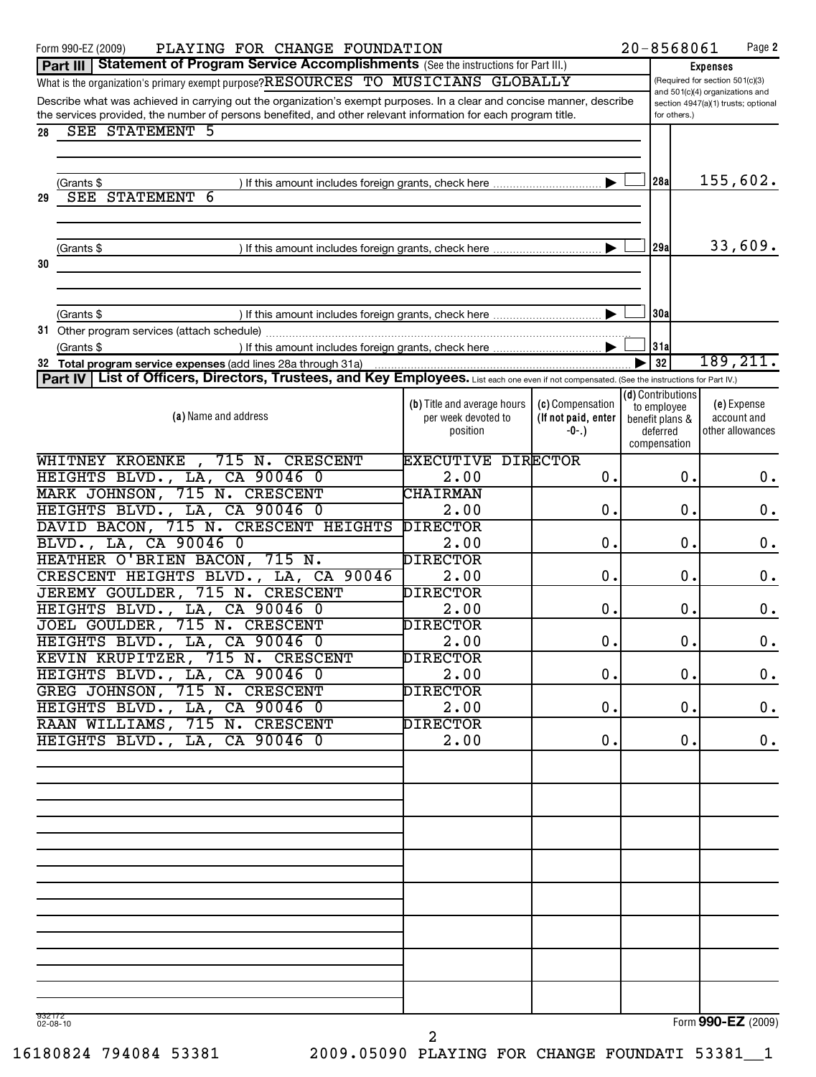| PLAYING FOR CHANGE FOUNDATION<br>Form 990-EZ (2009)                                                                                            |                             |                     | 20-8568061        | Page 2                              |
|------------------------------------------------------------------------------------------------------------------------------------------------|-----------------------------|---------------------|-------------------|-------------------------------------|
| <b>Part III Statement of Program Service Accomplishments</b> (See the instructions for Part III.)                                              |                             |                     |                   | <b>Expenses</b>                     |
| What is the organization's primary exempt purpose?RESOURCES TO MUSICIANS GLOBALLY                                                              |                             |                     |                   | (Required for section 501(c)(3)     |
| Describe what was achieved in carrying out the organization's exempt purposes. In a clear and concise manner, describe                         |                             |                     |                   | and 501(c)(4) organizations and     |
| the services provided, the number of persons benefited, and other relevant information for each program title.                                 |                             |                     | for others.)      | section 4947(a)(1) trusts; optional |
| <b>SEE STATEMENT 5</b><br>28                                                                                                                   |                             |                     |                   |                                     |
|                                                                                                                                                |                             |                     |                   |                                     |
|                                                                                                                                                |                             |                     |                   |                                     |
|                                                                                                                                                |                             |                     |                   | 155,602.                            |
| (Grants \$<br>If this amount includes foreign grants, check here                                                                               |                             |                     | 28al              |                                     |
| <b>SEE STATEMENT 6</b><br>29                                                                                                                   |                             |                     |                   |                                     |
|                                                                                                                                                |                             |                     |                   |                                     |
|                                                                                                                                                |                             |                     |                   |                                     |
| (Grants \$                                                                                                                                     |                             |                     | 29al              | 33,609.                             |
| 30                                                                                                                                             |                             |                     |                   |                                     |
|                                                                                                                                                |                             |                     |                   |                                     |
|                                                                                                                                                |                             |                     |                   |                                     |
| (Grants \$                                                                                                                                     |                             |                     | 30al              |                                     |
|                                                                                                                                                |                             |                     |                   |                                     |
| ) If this amount includes foreign grants, check here<br>(Grants \$                                                                             |                             |                     | 31a               |                                     |
| 32 Total program service expenses (add lines 28a through 31a)                                                                                  |                             |                     | 32                | 189, 211.                           |
| Part IV   List of Officers, Directors, Trustees, and Key Employees. List each one even if not compensated. (See the instructions for Part IV.) |                             |                     |                   |                                     |
|                                                                                                                                                |                             |                     | (d) Contributions |                                     |
|                                                                                                                                                | (b) Title and average hours | (c) Compensation    | to employee       | (e) Expense                         |
| (a) Name and address                                                                                                                           | per week devoted to         | (If not paid, enter | benefit plans &   | account and                         |
|                                                                                                                                                | position                    | -0-.)               | deferred          | other allowances                    |
|                                                                                                                                                |                             |                     | compensation      |                                     |
| WHITNEY KROENKE , 715 N. CRESCENT                                                                                                              | <b>EXECUTIVE DIRECTOR</b>   |                     |                   |                                     |
| HEIGHTS BLVD., LA, CA 90046 0                                                                                                                  | 2.00                        | 0.                  | 0.                | 0.                                  |
| MARK JOHNSON, 715 N. CRESCENT                                                                                                                  | <b>CHAIRMAN</b>             |                     |                   |                                     |
| HEIGHTS BLVD., LA, CA 90046 0                                                                                                                  | 2.00                        | О.                  | 0.                | 0.                                  |
| DAVID BACON, 715 N. CRESCENT HEIGHTS                                                                                                           | <b>DIRECTOR</b>             |                     |                   |                                     |
| BLVD., LA, CA 90046 0                                                                                                                          | 2.00                        | 0.                  | 0.                | $\mathbf 0$ .                       |
| HEATHER O'BRIEN BACON, 715 N.                                                                                                                  | <b>DIRECTOR</b>             |                     |                   |                                     |
| CRESCENT HEIGHTS BLVD., LA, CA 90046                                                                                                           | 2.00                        | 0.                  | 0.                | 0.                                  |
| JEREMY GOULDER, 715 N.<br><b>CRESCENT</b>                                                                                                      | <b>DIRECTOR</b>             |                     |                   |                                     |
| HEIGHTS BLVD., LA, CA 90046 0                                                                                                                  | 2.00                        | 0.                  | 0.                | 0.                                  |
| JOEL GOULDER, 715 N. CRESCENT                                                                                                                  | <b>DIRECTOR</b>             |                     |                   |                                     |
| HEIGHTS BLVD., LA, CA 90046 0                                                                                                                  | 2.00                        | 0.                  | 0.                | 0.                                  |
| KEVIN KRUPITZER, 715 N. CRESCENT                                                                                                               | <b>DIRECTOR</b>             |                     |                   |                                     |
| HEIGHTS BLVD., LA, CA 90046 0                                                                                                                  | 2.00                        | 0.                  | 0.                |                                     |
|                                                                                                                                                |                             |                     |                   | $0$ .                               |
| GREG JOHNSON, 715 N. CRESCENT                                                                                                                  | <b>DIRECTOR</b>             |                     |                   |                                     |
| HEIGHTS BLVD., LA, CA 90046 0                                                                                                                  | 2.00                        | 0.                  | 0.                | 0.                                  |
| RAAN WILLIAMS, 715 N. CRESCENT                                                                                                                 | <b>DIRECTOR</b>             |                     |                   |                                     |
| HEIGHTS BLVD., LA, CA 90046 0                                                                                                                  | 2.00                        | 0.                  | 0.                | 0.                                  |
|                                                                                                                                                |                             |                     |                   |                                     |
|                                                                                                                                                |                             |                     |                   |                                     |
|                                                                                                                                                |                             |                     |                   |                                     |
|                                                                                                                                                |                             |                     |                   |                                     |
|                                                                                                                                                |                             |                     |                   |                                     |
|                                                                                                                                                |                             |                     |                   |                                     |
|                                                                                                                                                |                             |                     |                   |                                     |
|                                                                                                                                                |                             |                     |                   |                                     |
|                                                                                                                                                |                             |                     |                   |                                     |
|                                                                                                                                                |                             |                     |                   |                                     |
|                                                                                                                                                |                             |                     |                   |                                     |
|                                                                                                                                                |                             |                     |                   |                                     |
|                                                                                                                                                |                             |                     |                   |                                     |
|                                                                                                                                                |                             |                     |                   |                                     |
|                                                                                                                                                |                             |                     |                   |                                     |
|                                                                                                                                                |                             |                     |                   |                                     |
|                                                                                                                                                |                             |                     |                   |                                     |
| 932172<br>$02 - 08 - 10$                                                                                                                       |                             |                     |                   | Form 990-EZ (2009)                  |

2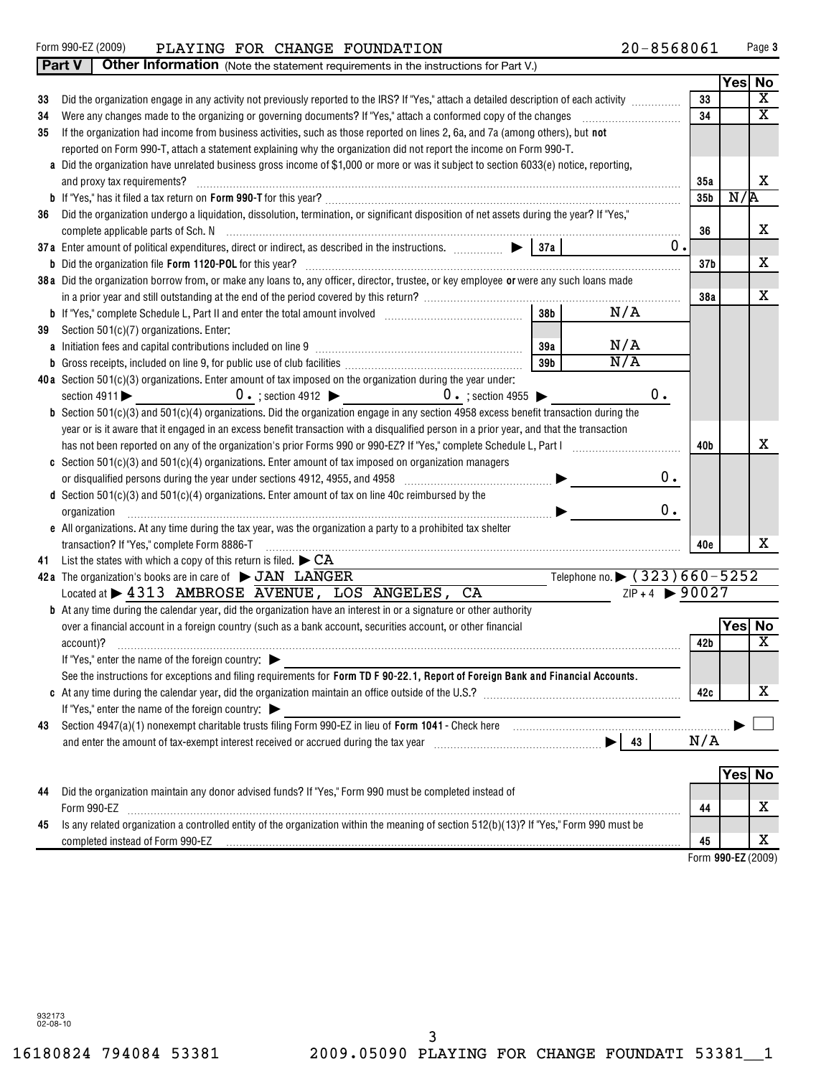|    | 20-8568061<br>Form 990-EZ (2009)<br>PLAYING FOR CHANGE FOUNDATION                                                                             |                 |         | Page 3                  |
|----|-----------------------------------------------------------------------------------------------------------------------------------------------|-----------------|---------|-------------------------|
|    | <b>Part V</b><br>Other Information (Note the statement requirements in the instructions for Part V.)                                          |                 |         |                         |
|    |                                                                                                                                               |                 | Yes No  |                         |
| 33 | Did the organization engage in any activity not previously reported to the IRS? If "Yes," attach a detailed description of each activity      | 33              |         | $\overline{\mathbf{x}}$ |
| 34 |                                                                                                                                               | 34              |         | $\overline{\mathtt{x}}$ |
| 35 | If the organization had income from business activities, such as those reported on lines 2, 6a, and 7a (among others), but not                |                 |         |                         |
|    | reported on Form 990-T, attach a statement explaining why the organization did not report the income on Form 990-T.                           |                 |         |                         |
|    | a Did the organization have unrelated business gross income of \$1,000 or more or was it subject to section 6033(e) notice, reporting,        |                 |         |                         |
|    | and proxy tax requirements?                                                                                                                   | 35a             |         | x                       |
|    |                                                                                                                                               | 35 <sub>b</sub> | N/R     |                         |
| 36 | Did the organization undergo a liquidation, dissolution, termination, or significant disposition of net assets during the year? If "Yes,"     |                 |         |                         |
|    | complete applicable parts of Sch. N происходимости и политической составляют подделжно подделжно подделжно по                                 | 36              |         | x                       |
|    | 0.<br>37a Enter amount of political expenditures, direct or indirect, as described in the instructions. ___________ >   37a                   |                 |         |                         |
|    |                                                                                                                                               | 37 <sub>b</sub> |         | x                       |
|    | 38 a Did the organization borrow from, or make any loans to, any officer, director, trustee, or key employee or were any such loans made      |                 |         |                         |
|    |                                                                                                                                               | 38a             |         | х                       |
|    | N/A<br>38 <sub>b</sub>                                                                                                                        |                 |         |                         |
| 39 | Section 501(c)(7) organizations. Enter:                                                                                                       |                 |         |                         |
|    | N/A<br>a Initiation fees and capital contributions included on line 9 [11] [11] [12] [12] [12] [12] [13] [13] [13] [1<br>39a                  |                 |         |                         |
|    | N/A<br>39 <sub>b</sub>                                                                                                                        |                 |         |                         |
|    | 40a Section 501(c)(3) organizations. Enter amount of tax imposed on the organization during the year under:                                   |                 |         |                         |
|    | 0.<br>$0 \cdot$ ; section 4912<br>section $4911$<br>$0 \cdot$ ; section 4955                                                                  |                 |         |                         |
|    | <b>b</b> Section 501(c)(3) and 501(c)(4) organizations. Did the organization engage in any section 4958 excess benefit transaction during the |                 |         |                         |
|    | year or is it aware that it engaged in an excess benefit transaction with a disqualified person in a prior year, and that the transaction     |                 |         |                         |
|    | has not been reported on any of the organization's prior Forms 990 or 990-EZ? If "Yes," complete Schedule L, Part I                           | 40b             |         | x                       |
|    | c Section $501(c)(3)$ and $501(c)(4)$ organizations. Enter amount of tax imposed on organization managers                                     |                 |         |                         |
|    | 0.                                                                                                                                            |                 |         |                         |
|    | d Section $501(c)(3)$ and $501(c)(4)$ organizations. Enter amount of tax on line 40c reimbursed by the                                        |                 |         |                         |
|    | 0.<br>organization                                                                                                                            |                 |         |                         |
|    | e All organizations. At any time during the tax year, was the organization a party to a prohibited tax shelter                                |                 |         |                         |
|    | transaction? If "Yes," complete Form 8886-T                                                                                                   | 40e             |         | x                       |
| 41 | List the states with which a copy of this return is filed. $\blacktriangleright$ $\mathsf{CA}$                                                |                 |         |                         |
|    | Telephone no. > (323)660-5252<br>42a The organization's books are in care of $\rightarrow$ JAN LANGER                                         |                 |         |                         |
|    | $ZIP + 4$ $\rightarrow$ 90027<br>Located at $\triangleright$ 4313 AMBROSE AVENUE, LOS ANGELES,<br>CA                                          |                 |         |                         |
|    | <b>b</b> At any time during the calendar year, did the organization have an interest in or a signature or other authority                     |                 |         |                         |
|    | over a financial account in a foreign country (such as a bank account, securities account, or other financial                                 |                 | Yes  No |                         |
|    | account)?                                                                                                                                     | 42b             |         | X                       |
|    | If "Yes," enter the name of the foreign country:                                                                                              |                 |         |                         |
|    | See the instructions for exceptions and filing requirements for Form TD F 90-22.1, Report of Foreign Bank and Financial Accounts.             |                 |         |                         |
|    |                                                                                                                                               | 42c             |         | x                       |
|    | If "Yes," enter the name of the foreign country:                                                                                              |                 |         |                         |
| 43 |                                                                                                                                               |                 |         |                         |
|    |                                                                                                                                               | N/A             |         |                         |
|    |                                                                                                                                               |                 |         |                         |
|    |                                                                                                                                               |                 | Yes No  |                         |
| 44 | Did the organization maintain any donor advised funds? If "Yes," Form 990 must be completed instead of                                        |                 |         |                         |
|    | Form 990-EZ                                                                                                                                   | 44              |         | х                       |
| 45 | Is any related organization a controlled entity of the organization within the meaning of section 512(b)(13)? If "Yes," Form 990 must be      |                 |         |                         |
|    | completed instead of Form 990-EZ                                                                                                              | 45              |         | х                       |
|    |                                                                                                                                               |                 |         | Form 990-EZ (2009)      |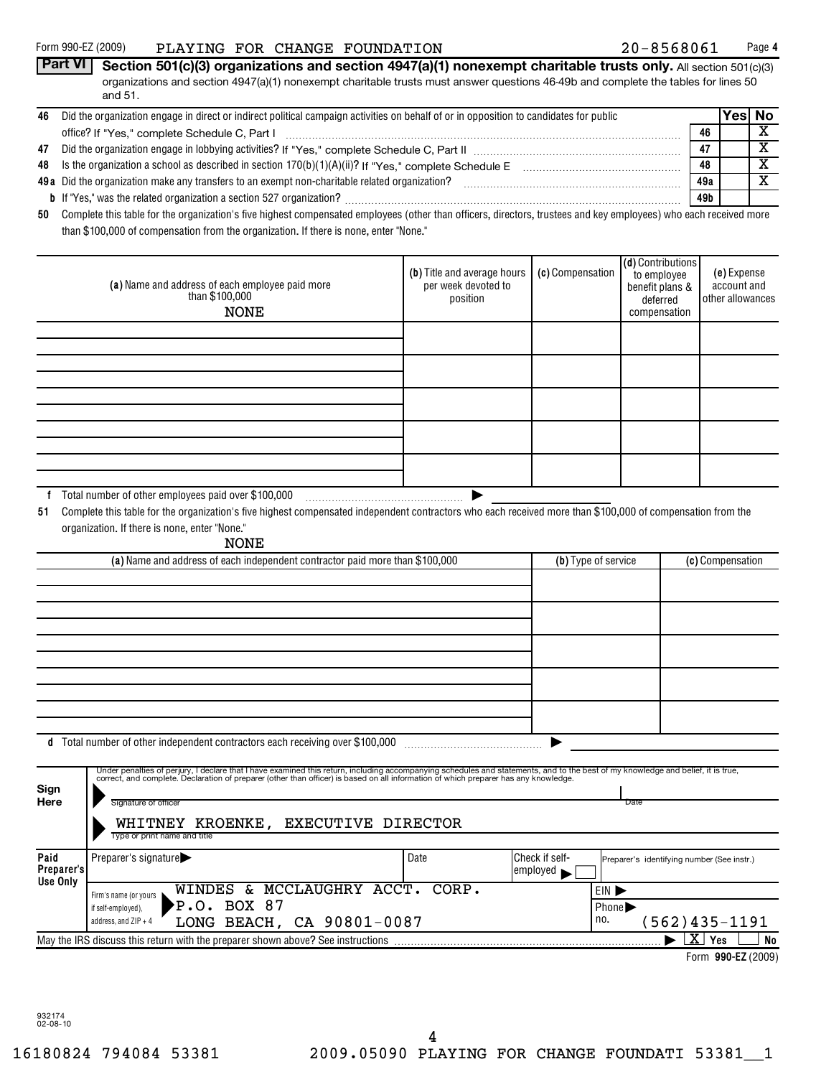|    | Form 990-EZ (2009)<br>20-8568061<br>PLAYING FOR CHANGE FOUNDATION                                                                                                                     |     |         | Page 4 |  |
|----|---------------------------------------------------------------------------------------------------------------------------------------------------------------------------------------|-----|---------|--------|--|
|    | <b>Part VI</b><br>Section 501(c)(3) organizations and section 4947(a)(1) nonexempt charitable trusts only. All section 501(c)(3)                                                      |     |         |        |  |
|    | organizations and section 4947(a)(1) nonexempt charitable trusts must answer questions 46-49b and complete the tables for lines 50<br>and 51.                                         |     |         |        |  |
| 46 | Did the organization engage in direct or indirect political campaign activities on behalf of or in opposition to candidates for public                                                |     | Yesl No |        |  |
|    | office? If "Yes," complete Schedule C, Part I                                                                                                                                         | 46  |         |        |  |
| 47 |                                                                                                                                                                                       | 47  |         |        |  |
| 48 | Is the organization a school as described in section 170(b)(1)(A)(ii)? If "Yes," complete Schedule E<br>48                                                                            |     |         |        |  |
|    | 49 a Did the organization make any transfers to an exempt non-charitable related organization?<br>49a                                                                                 |     |         |        |  |
|    | b If "Yes," was the related organization a section 527 organization?<br>https://www.community.community.community.community.community.community.community.community.community.communi | 49b |         |        |  |

**50** Complete this table for the organization's five highest compensated employees (other than officers, directors, trustees and key employees) who each received more than \$100,000 of compensation from the organization. If there is none, enter "None."

| (a) Name and address of each employee paid more<br>than \$100,000<br><b>NONE</b>                                                                                                                                                 | (b) Title and average hours<br>per week devoted to<br>position | (c) Compensation    | (d) Contributions<br>to employee<br>benefit plans &<br>deferred<br>compensation | (e) Expense<br>account and<br>other allowances |  |
|----------------------------------------------------------------------------------------------------------------------------------------------------------------------------------------------------------------------------------|----------------------------------------------------------------|---------------------|---------------------------------------------------------------------------------|------------------------------------------------|--|
|                                                                                                                                                                                                                                  |                                                                |                     |                                                                                 |                                                |  |
|                                                                                                                                                                                                                                  |                                                                |                     |                                                                                 |                                                |  |
|                                                                                                                                                                                                                                  |                                                                |                     |                                                                                 |                                                |  |
|                                                                                                                                                                                                                                  |                                                                |                     |                                                                                 |                                                |  |
|                                                                                                                                                                                                                                  |                                                                |                     |                                                                                 |                                                |  |
|                                                                                                                                                                                                                                  |                                                                |                     |                                                                                 |                                                |  |
|                                                                                                                                                                                                                                  |                                                                |                     |                                                                                 |                                                |  |
|                                                                                                                                                                                                                                  |                                                                |                     |                                                                                 |                                                |  |
| Total number of other employees paid over \$100,000<br>$\mathbf f$                                                                                                                                                               |                                                                |                     |                                                                                 |                                                |  |
| Complete this table for the organization's five highest compensated independent contractors who each received more than \$100,000 of compensation from the<br>51<br>organization. If there is none, enter "None."<br><b>NONE</b> |                                                                |                     |                                                                                 |                                                |  |
| (a) Name and address of each independent contractor paid more than \$100,000                                                                                                                                                     |                                                                | (b) Type of service |                                                                                 | (c) Compensation                               |  |
|                                                                                                                                                                                                                                  |                                                                |                     |                                                                                 |                                                |  |
|                                                                                                                                                                                                                                  |                                                                |                     |                                                                                 |                                                |  |
|                                                                                                                                                                                                                                  |                                                                |                     |                                                                                 |                                                |  |
|                                                                                                                                                                                                                                  |                                                                |                     |                                                                                 |                                                |  |
|                                                                                                                                                                                                                                  |                                                                |                     |                                                                                 |                                                |  |
|                                                                                                                                                                                                                                  |                                                                |                     |                                                                                 |                                                |  |
|                                                                                                                                                                                                                                  |                                                                |                     |                                                                                 |                                                |  |
| d Total number of other independent contractors each receiving over \$100,000                                                                                                                                                    |                                                                |                     |                                                                                 |                                                |  |

| Sign<br>Here                   | Under penalties of perjury, I declare that I have examined this return, including accompanying schedules and statements, and to the best of my knowledge and belief, it is true,<br>correct, and complete. Declaration of preparer (other than officer) is based on all information of which preparer has any knowledge.<br>Signature of officer<br>KROENKE,<br>EXECUTIVE DIRECTOR<br>WHITNEY<br>Type or print name and title |      |                                                             | Date                                       |
|--------------------------------|-------------------------------------------------------------------------------------------------------------------------------------------------------------------------------------------------------------------------------------------------------------------------------------------------------------------------------------------------------------------------------------------------------------------------------|------|-------------------------------------------------------------|--------------------------------------------|
| Paid<br>Preparer's<br>Use Only | Preparer's signature                                                                                                                                                                                                                                                                                                                                                                                                          | Date | <b>Check if self-</b><br>$\epsilon$ employed                | Preparer's identifying number (See instr.) |
|                                | MCCLAUGHRY ACCT.<br>WINDES<br>$\mathbf{x}$<br>Firm's name (or yours<br><b>BOX 87</b><br>P.O.<br>if self-employed),<br>BEACH, CA 90801-0087<br>address, and $ZIP + 4$<br>LONG                                                                                                                                                                                                                                                  |      | EIN D<br>Phone $\blacktriangleright$<br>no.<br>562)435-1191 |                                            |
|                                | May the IRS discuss this return with the preparer shown above? See instructions                                                                                                                                                                                                                                                                                                                                               |      |                                                             | x<br>No<br>Yes                             |

**990-EZ** Form (2009)

932174 02-08-10

**4**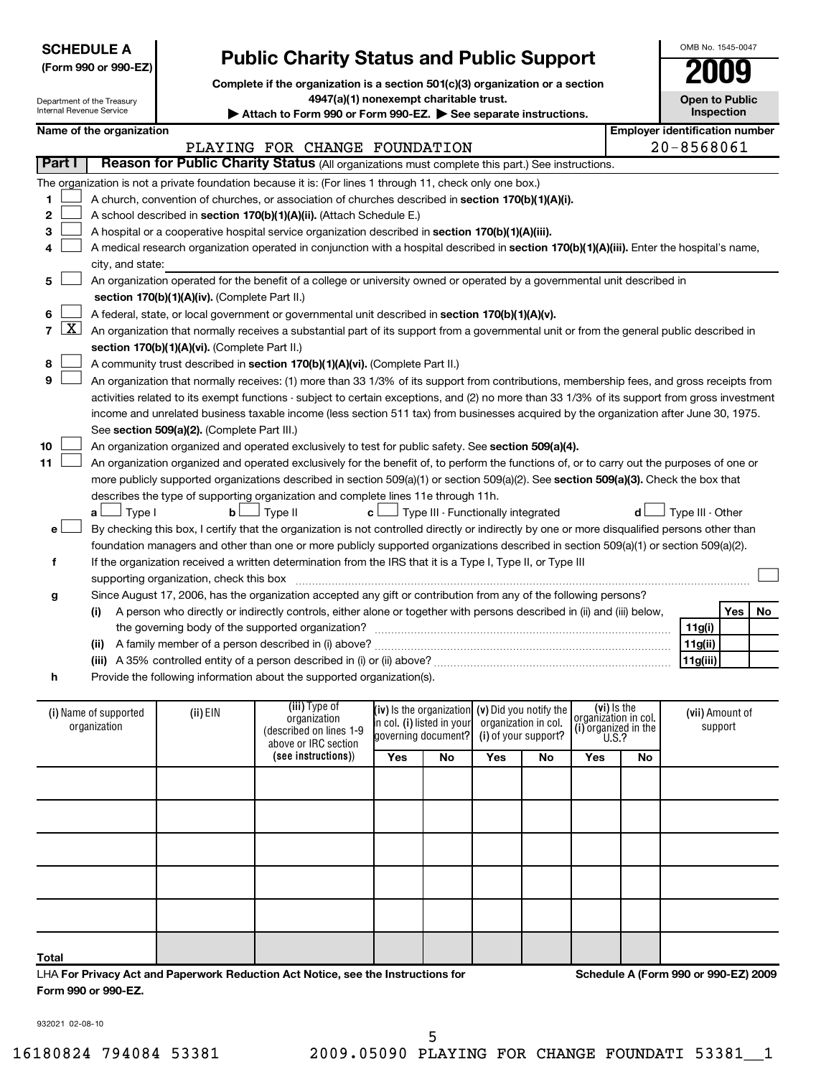| <b>SCHEDULE A</b>        |                                                                                                                                                                                                                                               |                                                 |                                                                                                                                               |                                                        |                                                   |                      |                      |                                     | OMB No. 1545-0047 |                                       |            |    |
|--------------------------|-----------------------------------------------------------------------------------------------------------------------------------------------------------------------------------------------------------------------------------------------|-------------------------------------------------|-----------------------------------------------------------------------------------------------------------------------------------------------|--------------------------------------------------------|---------------------------------------------------|----------------------|----------------------|-------------------------------------|-------------------|---------------------------------------|------------|----|
|                          | (Form 990 or 990-EZ)                                                                                                                                                                                                                          | <b>Public Charity Status and Public Support</b> |                                                                                                                                               |                                                        |                                                   |                      |                      |                                     |                   |                                       |            |    |
|                          |                                                                                                                                                                                                                                               |                                                 | Complete if the organization is a section 501(c)(3) organization or a section                                                                 |                                                        |                                                   |                      |                      |                                     |                   |                                       |            |    |
|                          | Department of the Treasury                                                                                                                                                                                                                    |                                                 | 4947(a)(1) nonexempt charitable trust.                                                                                                        |                                                        |                                                   |                      |                      |                                     |                   | <b>Open to Public</b>                 |            |    |
| Internal Revenue Service |                                                                                                                                                                                                                                               |                                                 | Attach to Form 990 or Form 990-EZ. See separate instructions.                                                                                 |                                                        |                                                   |                      |                      |                                     |                   |                                       | Inspection |    |
|                          | Name of the organization                                                                                                                                                                                                                      |                                                 |                                                                                                                                               |                                                        |                                                   |                      |                      |                                     |                   | <b>Employer identification number</b> |            |    |
|                          |                                                                                                                                                                                                                                               |                                                 | PLAYING FOR CHANGE FOUNDATION                                                                                                                 |                                                        |                                                   |                      |                      |                                     |                   | $20 - 8568061$                        |            |    |
| Part I                   |                                                                                                                                                                                                                                               |                                                 | Reason for Public Charity Status (All organizations must complete this part.) See instructions.                                               |                                                        |                                                   |                      |                      |                                     |                   |                                       |            |    |
|                          |                                                                                                                                                                                                                                               |                                                 | The organization is not a private foundation because it is: (For lines 1 through 11, check only one box.)                                     |                                                        |                                                   |                      |                      |                                     |                   |                                       |            |    |
| 1                        |                                                                                                                                                                                                                                               |                                                 | A church, convention of churches, or association of churches described in section 170(b)(1)(A)(i).                                            |                                                        |                                                   |                      |                      |                                     |                   |                                       |            |    |
| 2                        |                                                                                                                                                                                                                                               |                                                 | A school described in section 170(b)(1)(A)(ii). (Attach Schedule E.)                                                                          |                                                        |                                                   |                      |                      |                                     |                   |                                       |            |    |
| 3                        |                                                                                                                                                                                                                                               |                                                 | A hospital or a cooperative hospital service organization described in section 170(b)(1)(A)(iii).                                             |                                                        |                                                   |                      |                      |                                     |                   |                                       |            |    |
|                          |                                                                                                                                                                                                                                               |                                                 | A medical research organization operated in conjunction with a hospital described in section 170(b)(1)(A)(iii). Enter the hospital's name,    |                                                        |                                                   |                      |                      |                                     |                   |                                       |            |    |
|                          | city, and state:                                                                                                                                                                                                                              |                                                 |                                                                                                                                               |                                                        |                                                   |                      |                      |                                     |                   |                                       |            |    |
| 5                        |                                                                                                                                                                                                                                               |                                                 |                                                                                                                                               |                                                        |                                                   |                      |                      |                                     |                   |                                       |            |    |
|                          | An organization operated for the benefit of a college or university owned or operated by a governmental unit described in<br>section 170(b)(1)(A)(iv). (Complete Part II.)                                                                    |                                                 |                                                                                                                                               |                                                        |                                                   |                      |                      |                                     |                   |                                       |            |    |
| 6                        |                                                                                                                                                                                                                                               |                                                 |                                                                                                                                               |                                                        |                                                   |                      |                      |                                     |                   |                                       |            |    |
| $\mathbf{X}$<br>7        | A federal, state, or local government or governmental unit described in section 170(b)(1)(A)(v).<br>An organization that normally receives a substantial part of its support from a governmental unit or from the general public described in |                                                 |                                                                                                                                               |                                                        |                                                   |                      |                      |                                     |                   |                                       |            |    |
|                          |                                                                                                                                                                                                                                               | section 170(b)(1)(A)(vi). (Complete Part II.)   |                                                                                                                                               |                                                        |                                                   |                      |                      |                                     |                   |                                       |            |    |
| 8                        |                                                                                                                                                                                                                                               |                                                 | A community trust described in section 170(b)(1)(A)(vi). (Complete Part II.)                                                                  |                                                        |                                                   |                      |                      |                                     |                   |                                       |            |    |
| 9                        |                                                                                                                                                                                                                                               |                                                 | An organization that normally receives: (1) more than 33 1/3% of its support from contributions, membership fees, and gross receipts from     |                                                        |                                                   |                      |                      |                                     |                   |                                       |            |    |
|                          |                                                                                                                                                                                                                                               |                                                 |                                                                                                                                               |                                                        |                                                   |                      |                      |                                     |                   |                                       |            |    |
|                          |                                                                                                                                                                                                                                               |                                                 | activities related to its exempt functions - subject to certain exceptions, and (2) no more than 33 1/3% of its support from gross investment |                                                        |                                                   |                      |                      |                                     |                   |                                       |            |    |
|                          | income and unrelated business taxable income (less section 511 tax) from businesses acquired by the organization after June 30, 1975.                                                                                                         |                                                 |                                                                                                                                               |                                                        |                                                   |                      |                      |                                     |                   |                                       |            |    |
|                          | See section 509(a)(2). (Complete Part III.)<br>An organization organized and operated exclusively to test for public safety. See section 509(a)(4).                                                                                           |                                                 |                                                                                                                                               |                                                        |                                                   |                      |                      |                                     |                   |                                       |            |    |
| 10                       |                                                                                                                                                                                                                                               |                                                 |                                                                                                                                               |                                                        |                                                   |                      |                      |                                     |                   |                                       |            |    |
| 11                       |                                                                                                                                                                                                                                               |                                                 | An organization organized and operated exclusively for the benefit of, to perform the functions of, or to carry out the purposes of one or    |                                                        |                                                   |                      |                      |                                     |                   |                                       |            |    |
|                          |                                                                                                                                                                                                                                               |                                                 | more publicly supported organizations described in section 509(a)(1) or section 509(a)(2). See section 509(a)(3). Check the box that          |                                                        |                                                   |                      |                      |                                     |                   |                                       |            |    |
|                          |                                                                                                                                                                                                                                               |                                                 | describes the type of supporting organization and complete lines 11e through 11h.                                                             |                                                        |                                                   |                      |                      |                                     |                   | Type III - Other                      |            |    |
|                          | $\Box$ Type I<br>aι                                                                                                                                                                                                                           | $\mathbf{b}$                                    | $\Box$ Type II                                                                                                                                | $\mathbf{c}$ $\Box$ Type III - Functionally integrated |                                                   |                      |                      |                                     |                   |                                       |            |    |
| е                        |                                                                                                                                                                                                                                               |                                                 | By checking this box, I certify that the organization is not controlled directly or indirectly by one or more disqualified persons other than |                                                        |                                                   |                      |                      |                                     |                   |                                       |            |    |
|                          |                                                                                                                                                                                                                                               |                                                 | foundation managers and other than one or more publicly supported organizations described in section 509(a)(1) or section 509(a)(2).          |                                                        |                                                   |                      |                      |                                     |                   |                                       |            |    |
| f                        |                                                                                                                                                                                                                                               |                                                 | If the organization received a written determination from the IRS that it is a Type I, Type II, or Type III                                   |                                                        |                                                   |                      |                      |                                     |                   |                                       |            |    |
|                          |                                                                                                                                                                                                                                               | supporting organization, check this box         |                                                                                                                                               |                                                        |                                                   |                      |                      |                                     |                   |                                       |            |    |
| g                        |                                                                                                                                                                                                                                               |                                                 | Since August 17, 2006, has the organization accepted any gift or contribution from any of the following persons?                              |                                                        |                                                   |                      |                      |                                     |                   |                                       |            |    |
|                          | (i)                                                                                                                                                                                                                                           |                                                 | A person who directly or indirectly controls, either alone or together with persons described in (ii) and (iii) below,                        |                                                        |                                                   |                      |                      |                                     |                   |                                       | Yes        | No |
|                          |                                                                                                                                                                                                                                               |                                                 |                                                                                                                                               |                                                        |                                                   |                      |                      |                                     |                   | 11g(i)                                |            |    |
|                          | (ii)                                                                                                                                                                                                                                          |                                                 |                                                                                                                                               |                                                        |                                                   |                      |                      |                                     |                   | 11g(ii)                               |            |    |
|                          |                                                                                                                                                                                                                                               |                                                 |                                                                                                                                               |                                                        |                                                   |                      |                      |                                     |                   | 11g(iii)                              |            |    |
| h                        |                                                                                                                                                                                                                                               |                                                 | Provide the following information about the supported organization(s).                                                                        |                                                        |                                                   |                      |                      |                                     |                   |                                       |            |    |
|                          |                                                                                                                                                                                                                                               |                                                 |                                                                                                                                               |                                                        |                                                   |                      |                      |                                     |                   |                                       |            |    |
|                          | (i) Name of supported                                                                                                                                                                                                                         | (ii) EIN                                        | (iii) Type of<br>organization                                                                                                                 |                                                        | (iv) is the organization $(v)$ Did you notify the |                      |                      | (vi) Is the<br>organization in col. |                   | (vii) Amount of                       |            |    |
|                          | organization                                                                                                                                                                                                                                  |                                                 | (described on lines 1-9                                                                                                                       | <b>i</b> n col. (i) listed in your                     | governing document?                               | organization in col. | (i) of your support? | (i) organized in the $U.S.$ ?       |                   |                                       | support    |    |
|                          |                                                                                                                                                                                                                                               |                                                 | above or IRC section                                                                                                                          |                                                        |                                                   |                      |                      |                                     |                   |                                       |            |    |
|                          |                                                                                                                                                                                                                                               |                                                 | (see instructions))                                                                                                                           | Yes                                                    | No                                                | Yes                  | No                   | Yes                                 | No                |                                       |            |    |
|                          |                                                                                                                                                                                                                                               |                                                 |                                                                                                                                               |                                                        |                                                   |                      |                      |                                     |                   |                                       |            |    |
|                          |                                                                                                                                                                                                                                               |                                                 |                                                                                                                                               |                                                        |                                                   |                      |                      |                                     |                   |                                       |            |    |
|                          |                                                                                                                                                                                                                                               |                                                 |                                                                                                                                               |                                                        |                                                   |                      |                      |                                     |                   |                                       |            |    |
|                          |                                                                                                                                                                                                                                               |                                                 |                                                                                                                                               |                                                        |                                                   |                      |                      |                                     |                   |                                       |            |    |
|                          |                                                                                                                                                                                                                                               |                                                 |                                                                                                                                               |                                                        |                                                   |                      |                      |                                     |                   |                                       |            |    |
|                          |                                                                                                                                                                                                                                               |                                                 |                                                                                                                                               |                                                        |                                                   |                      |                      |                                     |                   |                                       |            |    |

**Schedule A (Form 990 or 990-EZ) 2009**

OMB No. 1545-0047

932021 02-08-10

**Form 990 or 990-EZ.**

**Total**

**For Privacy Act and Paperwork Reduction Act Notice, see the Instructions for** LHA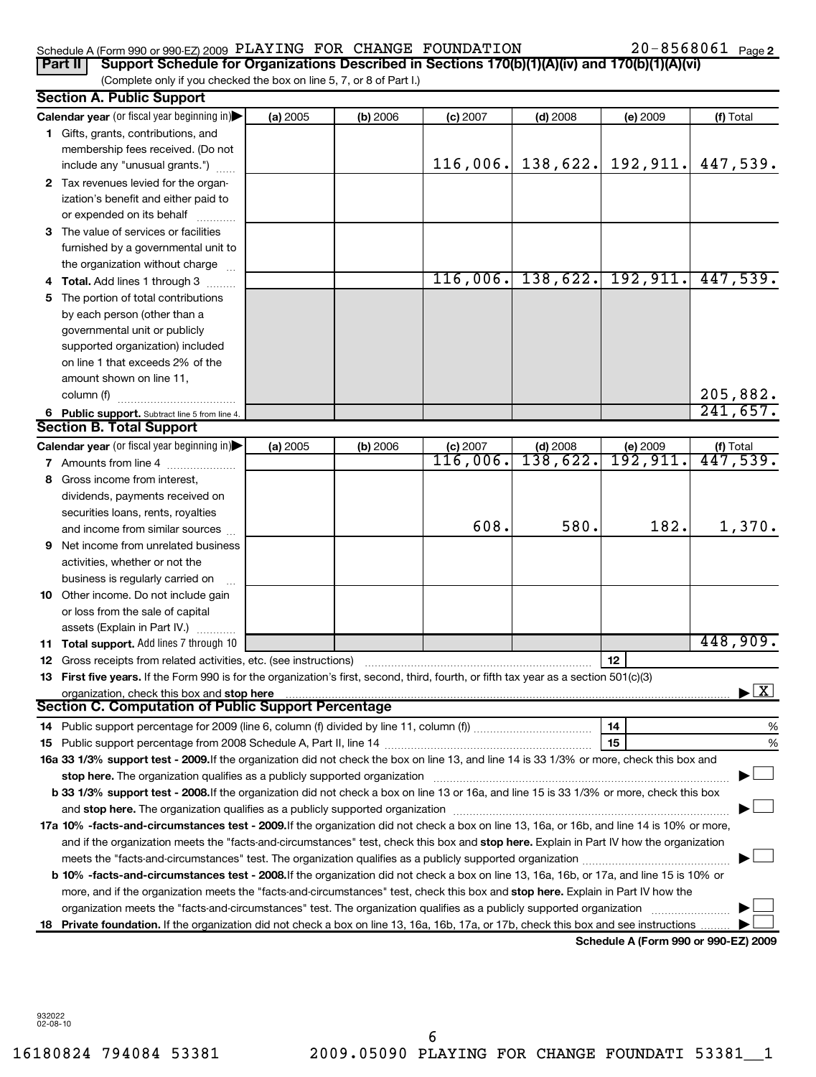| Schedule A (Form 990 or 990-EZ) 2009 PLAYING FOR CHANGE FOUNDATION |  |  | 20-8568061<br>Page 2 |
|--------------------------------------------------------------------|--|--|----------------------|
|--------------------------------------------------------------------|--|--|----------------------|

|  |  |  |  |  |  | Part II   Support Schedule for Organizations Described in Sections 170(b)(1)(A)(iv) and 170(b)(1)(A)(vi) |  |  |  |
|--|--|--|--|--|--|----------------------------------------------------------------------------------------------------------|--|--|--|
|--|--|--|--|--|--|----------------------------------------------------------------------------------------------------------|--|--|--|

(Complete only if you checked the box on line 5, 7, or 8 of Part I.)

# **Section A. Public Support**

| <b>Calendar vear</b> (or fiscal year beginning in)                                                                                              | (a) 2005 | (b) 2006 | $(c)$ 2007 | $(d)$ 2008 | (e) 2009            | (f) Total                                |
|-------------------------------------------------------------------------------------------------------------------------------------------------|----------|----------|------------|------------|---------------------|------------------------------------------|
| 1 Gifts, grants, contributions, and                                                                                                             |          |          |            |            |                     |                                          |
| membership fees received. (Do not                                                                                                               |          |          |            |            |                     |                                          |
| include any "unusual grants.")                                                                                                                  |          |          | 116,006.   | 138,622.   | 192, 911.           | 447,539.                                 |
| 2 Tax revenues levied for the organ-                                                                                                            |          |          |            |            |                     |                                          |
| ization's benefit and either paid to                                                                                                            |          |          |            |            |                     |                                          |
| or expended on its behalf                                                                                                                       |          |          |            |            |                     |                                          |
| 3 The value of services or facilities                                                                                                           |          |          |            |            |                     |                                          |
| furnished by a governmental unit to                                                                                                             |          |          |            |            |                     |                                          |
| the organization without charge                                                                                                                 |          |          |            |            |                     |                                          |
| 4 Total. Add lines 1 through 3                                                                                                                  |          |          | 116,006.   | 138,622.   | 192, 911.           | 447,539.                                 |
| 5 The portion of total contributions                                                                                                            |          |          |            |            |                     |                                          |
| by each person (other than a                                                                                                                    |          |          |            |            |                     |                                          |
| governmental unit or publicly                                                                                                                   |          |          |            |            |                     |                                          |
| supported organization) included                                                                                                                |          |          |            |            |                     |                                          |
| on line 1 that exceeds 2% of the                                                                                                                |          |          |            |            |                     |                                          |
| amount shown on line 11,                                                                                                                        |          |          |            |            |                     |                                          |
| column (f)                                                                                                                                      |          |          |            |            |                     | 205,882.                                 |
| 6 Public support. Subtract line 5 from line 4.                                                                                                  |          |          |            |            |                     | 241,657.                                 |
| <b>Section B. Total Support</b>                                                                                                                 |          |          |            |            |                     |                                          |
| Calendar year (or fiscal year beginning in)                                                                                                     | (a) 2005 | (b) 2006 | $(c)$ 2007 | $(d)$ 2008 | $\frac{6}{192,911}$ | $\frac{f(f) \text{ Total}}{447,539.}$    |
| 7 Amounts from line 4                                                                                                                           |          |          | 116,006.   | 138,622.   |                     |                                          |
| 8 Gross income from interest,                                                                                                                   |          |          |            |            |                     |                                          |
| dividends, payments received on                                                                                                                 |          |          |            |            |                     |                                          |
| securities loans, rents, royalties                                                                                                              |          |          |            |            |                     |                                          |
| and income from similar sources                                                                                                                 |          |          | 608.       | 580.       | 182.                | 1,370.                                   |
| <b>9</b> Net income from unrelated business                                                                                                     |          |          |            |            |                     |                                          |
| activities, whether or not the                                                                                                                  |          |          |            |            |                     |                                          |
| business is regularly carried on                                                                                                                |          |          |            |            |                     |                                          |
| 10 Other income. Do not include gain                                                                                                            |          |          |            |            |                     |                                          |
| or loss from the sale of capital                                                                                                                |          |          |            |            |                     |                                          |
| assets (Explain in Part IV.)                                                                                                                    |          |          |            |            |                     |                                          |
| 11 Total support. Add lines 7 through 10                                                                                                        |          |          |            |            |                     | 448,909.                                 |
| <b>12</b> Gross receipts from related activities, etc. (see instructions)                                                                       |          |          |            |            | 12                  |                                          |
| 13 First five years. If the Form 990 is for the organization's first, second, third, fourth, or fifth tax year as a section 501(c)(3)           |          |          |            |            |                     |                                          |
| organization, check this box and stop here                                                                                                      |          |          |            |            |                     | $\blacktriangleright$ $\boxed{\text{X}}$ |
| <b>Section C. Computation of Public Support Percentage</b>                                                                                      |          |          |            |            |                     |                                          |
|                                                                                                                                                 |          |          |            |            | 14                  | $\%$                                     |
|                                                                                                                                                 |          |          |            |            | 15                  | %                                        |
| 16a 33 1/3% support test - 2009. If the organization did not check the box on line 13, and line 14 is 33 1/3% or more, check this box and       |          |          |            |            |                     |                                          |
|                                                                                                                                                 |          |          |            |            |                     |                                          |
| <b>b</b> 33 1/3% support test - 2008. If the organization did not check a box on line 13 or 16a, and line 15 is 33 1/3% or more, check this box |          |          |            |            |                     |                                          |
|                                                                                                                                                 |          |          |            |            |                     |                                          |
| 17a 10% -facts-and-circumstances test - 2009. If the organization did not check a box on line 13, 16a, or 16b, and line 14 is 10% or more,      |          |          |            |            |                     |                                          |
| and if the organization meets the "facts-and-circumstances" test, check this box and stop here. Explain in Part IV how the organization         |          |          |            |            |                     |                                          |
|                                                                                                                                                 |          |          |            |            |                     |                                          |
| <b>b 10% -facts-and-circumstances test - 2008.</b> If the organization did not check a box on line 13, 16a, 16b, or 17a, and line 15 is 10% or  |          |          |            |            |                     |                                          |
| more, and if the organization meets the "facts-and-circumstances" test, check this box and stop here. Explain in Part IV how the                |          |          |            |            |                     |                                          |
| organization meets the "facts-and-circumstances" test. The organization qualifies as a publicly supported organization                          |          |          |            |            |                     |                                          |
| Private foundation. If the organization did not check a box on line 13, 16a, 16b, 17a, or 17b, check this box and see instructions<br>18.       |          |          |            |            |                     |                                          |

**Schedule A (Form 990 or 990-EZ) 2009**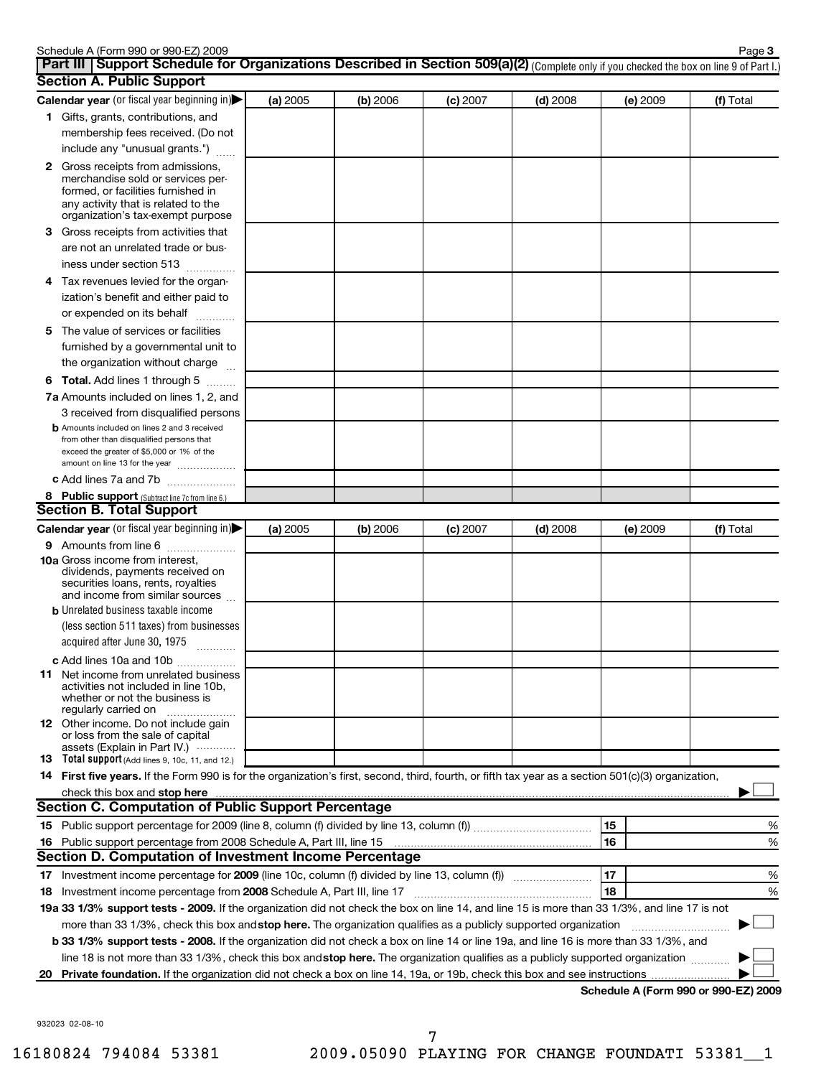|    | Schedule A (Form 990 or 990-EZ) 2009                                                                                                                                                                                                                                     |          |          |            |            |          | Page 3    |
|----|--------------------------------------------------------------------------------------------------------------------------------------------------------------------------------------------------------------------------------------------------------------------------|----------|----------|------------|------------|----------|-----------|
|    | Part III   Support Schedule for Organizations Described in Section 509(a)(2) (Complete only if you checked the box on line 9 of Part I.)                                                                                                                                 |          |          |            |            |          |           |
|    | <b>Section A. Public Support</b>                                                                                                                                                                                                                                         |          |          |            |            |          |           |
|    | Calendar year (or fiscal year beginning in)                                                                                                                                                                                                                              | (a) 2005 | (b) 2006 | $(c)$ 2007 | $(d)$ 2008 | (e) 2009 | (f) Total |
|    | 1 Gifts, grants, contributions, and                                                                                                                                                                                                                                      |          |          |            |            |          |           |
|    | membership fees received. (Do not                                                                                                                                                                                                                                        |          |          |            |            |          |           |
|    | include any "unusual grants.")                                                                                                                                                                                                                                           |          |          |            |            |          |           |
|    | <b>2</b> Gross receipts from admissions,                                                                                                                                                                                                                                 |          |          |            |            |          |           |
|    | merchandise sold or services per-<br>formed, or facilities furnished in                                                                                                                                                                                                  |          |          |            |            |          |           |
|    | any activity that is related to the                                                                                                                                                                                                                                      |          |          |            |            |          |           |
|    | organization's tax-exempt purpose                                                                                                                                                                                                                                        |          |          |            |            |          |           |
|    | 3 Gross receipts from activities that                                                                                                                                                                                                                                    |          |          |            |            |          |           |
|    | are not an unrelated trade or bus-                                                                                                                                                                                                                                       |          |          |            |            |          |           |
|    | iness under section 513                                                                                                                                                                                                                                                  |          |          |            |            |          |           |
|    | 4 Tax revenues levied for the organ-                                                                                                                                                                                                                                     |          |          |            |            |          |           |
|    | ization's benefit and either paid to                                                                                                                                                                                                                                     |          |          |            |            |          |           |
|    | or expended on its behalf                                                                                                                                                                                                                                                |          |          |            |            |          |           |
|    | 5 The value of services or facilities                                                                                                                                                                                                                                    |          |          |            |            |          |           |
|    | furnished by a governmental unit to                                                                                                                                                                                                                                      |          |          |            |            |          |           |
|    | the organization without charge                                                                                                                                                                                                                                          |          |          |            |            |          |           |
|    | <b>6 Total.</b> Add lines 1 through 5                                                                                                                                                                                                                                    |          |          |            |            |          |           |
|    | 7a Amounts included on lines 1, 2, and                                                                                                                                                                                                                                   |          |          |            |            |          |           |
|    | 3 received from disqualified persons                                                                                                                                                                                                                                     |          |          |            |            |          |           |
|    | <b>b</b> Amounts included on lines 2 and 3 received<br>from other than disqualified persons that                                                                                                                                                                         |          |          |            |            |          |           |
|    | exceed the greater of \$5,000 or 1% of the                                                                                                                                                                                                                               |          |          |            |            |          |           |
|    | amount on line 13 for the year                                                                                                                                                                                                                                           |          |          |            |            |          |           |
|    | c Add lines 7a and 7b                                                                                                                                                                                                                                                    |          |          |            |            |          |           |
|    | 8 Public support (Subtract line 7c from line 6.)<br><b>Section B. Total Support</b>                                                                                                                                                                                      |          |          |            |            |          |           |
|    | Calendar year (or fiscal year beginning in)                                                                                                                                                                                                                              |          |          |            |            |          |           |
|    |                                                                                                                                                                                                                                                                          | (a) 2005 | (b) 2006 | $(c)$ 2007 | $(d)$ 2008 | (e) 2009 | (f) Total |
|    | 9 Amounts from line 6<br><b>10a</b> Gross income from interest,                                                                                                                                                                                                          |          |          |            |            |          |           |
|    | dividends, payments received on                                                                                                                                                                                                                                          |          |          |            |            |          |           |
|    | securities loans, rents, royalties                                                                                                                                                                                                                                       |          |          |            |            |          |           |
|    | and income from similar sources<br><b>b</b> Unrelated business taxable income                                                                                                                                                                                            |          |          |            |            |          |           |
|    | (less section 511 taxes) from businesses                                                                                                                                                                                                                                 |          |          |            |            |          |           |
|    | acquired after June 30, 1975                                                                                                                                                                                                                                             |          |          |            |            |          |           |
|    | .                                                                                                                                                                                                                                                                        |          |          |            |            |          |           |
|    | c Add lines 10a and 10b<br><b>11</b> Net income from unrelated business                                                                                                                                                                                                  |          |          |            |            |          |           |
|    | activities not included in line 10b,                                                                                                                                                                                                                                     |          |          |            |            |          |           |
|    | whether or not the business is                                                                                                                                                                                                                                           |          |          |            |            |          |           |
|    | regularly carried on<br><b>12</b> Other income. Do not include gain                                                                                                                                                                                                      |          |          |            |            |          |           |
|    | or loss from the sale of capital                                                                                                                                                                                                                                         |          |          |            |            |          |           |
|    | assets (Explain in Part IV.)<br>13 Total support (Add lines 9, 10c, 11, and 12.)                                                                                                                                                                                         |          |          |            |            |          |           |
|    | 14 First five years. If the Form 990 is for the organization's first, second, third, fourth, or fifth tax year as a section 501(c)(3) organization,                                                                                                                      |          |          |            |            |          |           |
|    |                                                                                                                                                                                                                                                                          |          |          |            |            |          |           |
|    | Section C. Computation of Public Support Percentage                                                                                                                                                                                                                      |          |          |            |            |          |           |
|    |                                                                                                                                                                                                                                                                          |          |          |            |            | 15       | %         |
|    |                                                                                                                                                                                                                                                                          |          |          |            |            | 16       | %         |
|    |                                                                                                                                                                                                                                                                          |          |          |            |            |          |           |
| 16 |                                                                                                                                                                                                                                                                          |          |          |            |            |          |           |
|    | Section D. Computation of Investment Income Percentage                                                                                                                                                                                                                   |          |          |            |            |          |           |
|    |                                                                                                                                                                                                                                                                          |          |          |            |            | 17       | %         |
|    | 18 Investment income percentage from 2008 Schedule A, Part III, line 17                                                                                                                                                                                                  |          |          |            |            | 18       | %         |
|    | 19a 33 1/3% support tests - 2009. If the organization did not check the box on line 14, and line 15 is more than 33 1/3%, and line 17 is not                                                                                                                             |          |          |            |            |          |           |
|    | more than 33 1/3%, check this box and stop here. The organization qualifies as a publicly supported organization                                                                                                                                                         |          |          |            |            |          |           |
|    | b 33 1/3% support tests - 2008. If the organization did not check a box on line 14 or line 19a, and line 16 is more than 33 1/3%, and<br>line 18 is not more than 33 1/3%, check this box and stop here. The organization qualifies as a publicly supported organization |          |          |            |            |          |           |

**Schedule A (Form 990 or 990-EZ) 2009**

932023 02-08-10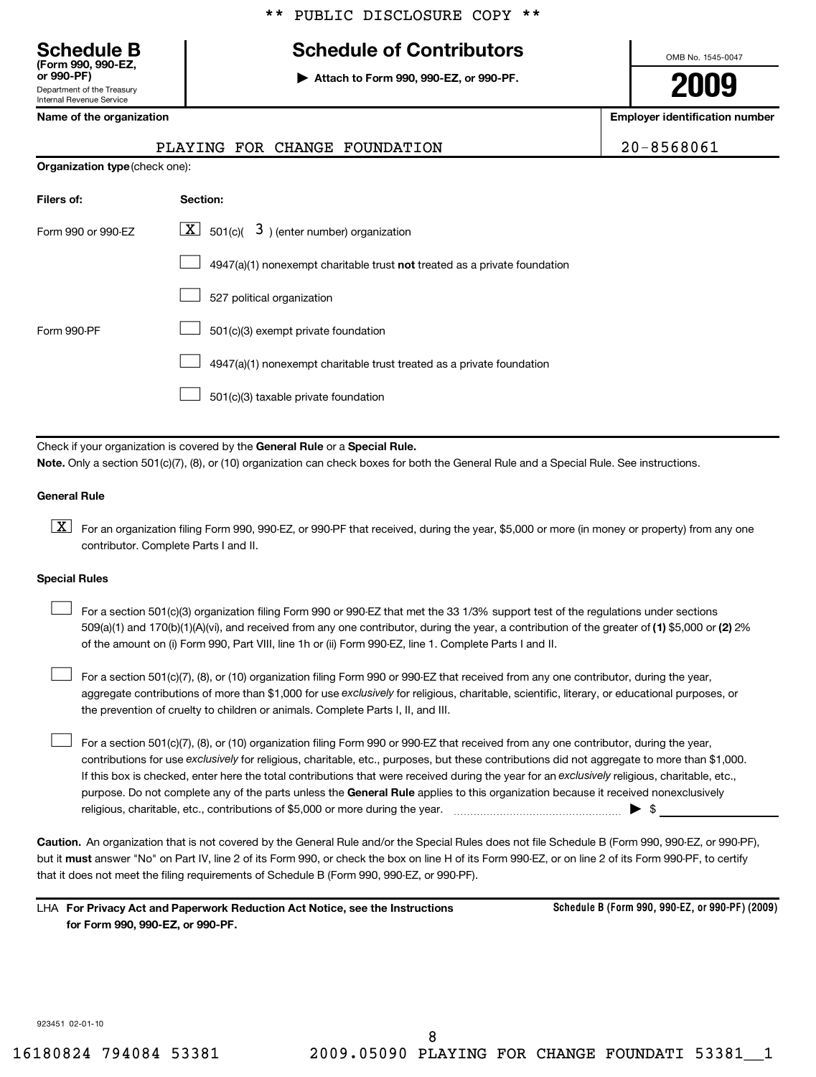|  |  | ** PUBLIC DISCLOSURE COPY ** |  |  |
|--|--|------------------------------|--|--|
|--|--|------------------------------|--|--|

# **Schedule B Schedule of Contributors**

**or 990-PF) | Attach to Form 990, 990-EZ, or 990-PF.**

OMB No. 1545-0047

**2009**

**Employer identification number** 

|  | Name of the organization |
|--|--------------------------|
|--|--------------------------|

Department of the Treasury Internal Revenue Service

**(Form 990, 990-EZ,**

|                                       | PLAYING FOR CHANGE FOUNDATION                                             | 20-8568061 |
|---------------------------------------|---------------------------------------------------------------------------|------------|
| <b>Organization type (check one):</b> |                                                                           |            |
| Filers of:                            | Section:                                                                  |            |
| Form 990 or 990-EZ                    | $\lfloor \underline{X} \rfloor$ 501(c)( 3) (enter number) organization    |            |
|                                       | 4947(a)(1) nonexempt charitable trust not treated as a private foundation |            |
|                                       | 527 political organization                                                |            |
| Form 990-PF                           | 501(c)(3) exempt private foundation                                       |            |
|                                       | 4947(a)(1) nonexempt charitable trust treated as a private foundation     |            |
|                                       | 501(c)(3) taxable private foundation                                      |            |

Check if your organization is covered by the General Rule or a Special Rule. **Note.**  Only a section 501(c)(7), (8), or (10) organization can check boxes for both the General Rule and a Special Rule. See instructions.

#### **General Rule**

 $\boxed{\text{X}}$  For an organization filing Form 990, 990-EZ, or 990-PF that received, during the year, \$5,000 or more (in money or property) from any one contributor. Complete Parts I and II.

#### **Special Rules**

509(a)(1) and 170(b)(1)(A)(vi), and received from any one contributor, during the year, a contribution of the greater of (1) \$5,000 or (2) 2% For a section 501(c)(3) organization filing Form 990 or 990-EZ that met the 33 1/3% support test of the regulations under sections of the amount on (i) Form 990, Part VIII, line 1h or (ii) Form 990-EZ, line 1. Complete Parts I and II.  $\left\vert \cdot\right\vert$ 

aggregate contributions of more than \$1,000 for use exclusively for religious, charitable, scientific, literary, or educational purposes, or For a section 501(c)(7), (8), or (10) organization filing Form 990 or 990-EZ that received from any one contributor, during the year, the prevention of cruelty to children or animals. Complete Parts I, II, and III.  $\left\vert \cdot\right\vert$ 

purpose. Do not complete any of the parts unless the General Rule applies to this organization because it received nonexclusively contributions for use exclusively for religious, charitable, etc., purposes, but these contributions did not aggregate to more than \$1,000. If this box is checked, enter here the total contributions that were received during the year for an exclusively religious, charitable, etc., For a section 501(c)(7), (8), or (10) organization filing Form 990 or 990-EZ that received from any one contributor, during the year, religious, charitable, etc., contributions of \$5,000 or more during the year. ~~~~~~~~~~~~~~~~~ | \$  $\left\vert \cdot\right\vert$ 

**Caution.** An organization that is not covered by the General Rule and/or the Special Rules does not file Schedule B (Form 990, 990-EZ, or 990-PF), but it **must** answer "No" on Part IV, line 2 of its Form 990, or check the box on line H of its Form 990-EZ, or on line 2 of its Form 990-PF, to certify that it does not meet the filing requirements of Schedule B (Form 990, 990-EZ, or 990-PF).

**For Privacy Act and Paperwork Reduction Act Notice, see the Instructions** LHA **for Form 990, 990-EZ, or 990-PF.**

**Schedule B (Form 990, 990-EZ, or 990-PF) (2009)**

923451 02-01-10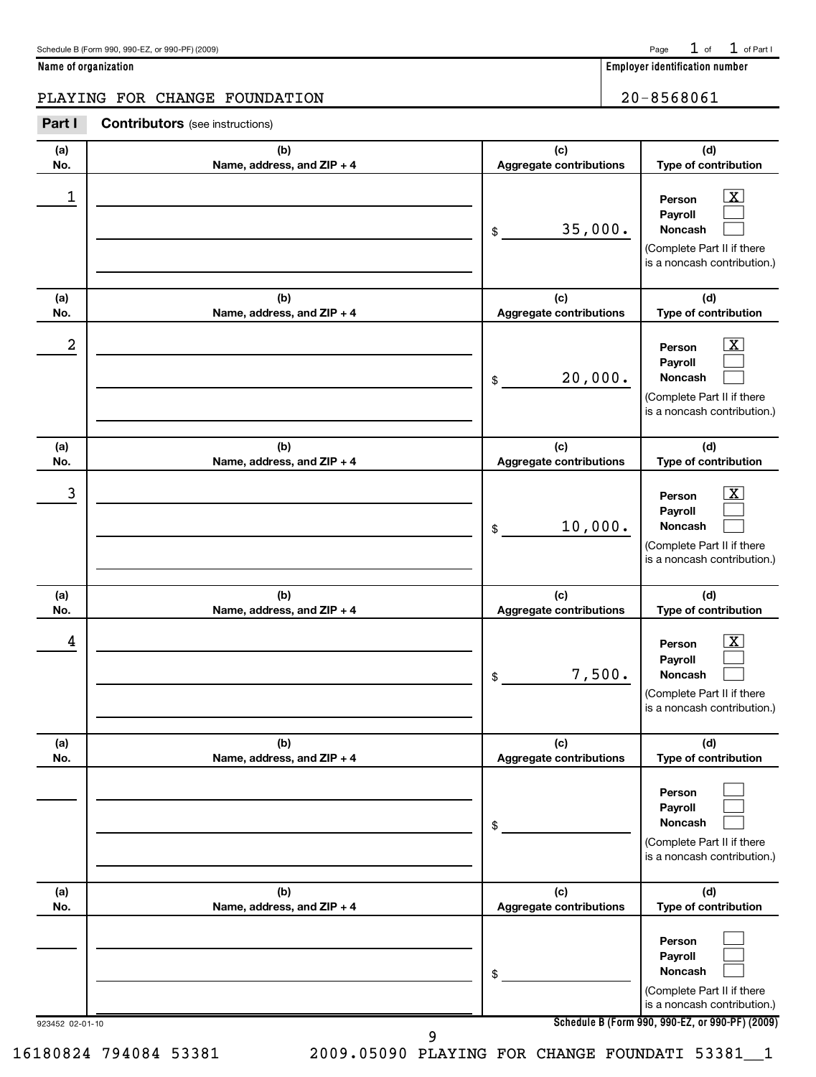| Schedule B (Form 990, 990-EZ, or 990-PF) (2009) | Page $1$ of $1$ of Part I |  |  |
|-------------------------------------------------|---------------------------|--|--|
|                                                 |                           |  |  |

**Name of organization Employer identification number**

### PLAYING FOR CHANGE FOUNDATION 20-8568061

**Part I Contributors** (see instructions)

| (a)<br>No.      | (b)<br>Name, address, and ZIP + 4 | (c)<br>Aggregate contributions        | (d)<br>Type of contribution                                                                                                                  |
|-----------------|-----------------------------------|---------------------------------------|----------------------------------------------------------------------------------------------------------------------------------------------|
| 1               |                                   | 35,000.<br>\$                         | $\mathbf{X}$<br>Person<br>Payroll<br><b>Noncash</b><br>(Complete Part II if there<br>is a noncash contribution.)                             |
| (a)<br>No.      | (b)<br>Name, address, and ZIP + 4 | (c)<br>Aggregate contributions        | (d)<br>Type of contribution                                                                                                                  |
| 2               |                                   | 20,000.<br>\$                         | $\mathbf{X}$<br>Person<br>Payroll<br><b>Noncash</b><br>(Complete Part II if there<br>is a noncash contribution.)                             |
| (a)<br>No.      | (b)<br>Name, address, and ZIP + 4 | (c)<br>Aggregate contributions        | (d)<br>Type of contribution                                                                                                                  |
| 3               |                                   | 10,000.<br>\$                         | $\overline{\text{X}}$<br>Person<br>Payroll<br><b>Noncash</b><br>(Complete Part II if there<br>is a noncash contribution.)                    |
| (a)<br>No.      | (b)<br>Name, address, and ZIP + 4 | (c)<br>Aggregate contributions        | (d)<br>Type of contribution                                                                                                                  |
| 4               |                                   | 7,500.<br>\$                          | $\mathbf{X}$<br>Person<br>Payroll<br>Noncash<br>(Complete Part II if there<br>is a noncash contribution.)                                    |
| (a)<br>No.      | (b)<br>Name, address, and ZIP + 4 | (c)<br>Aggregate contributions        | (d)<br>Type of contribution                                                                                                                  |
|                 |                                   | \$                                    | Person<br>Payroll<br>Noncash<br>(Complete Part II if there<br>is a noncash contribution.)                                                    |
| (a)<br>No.      | (b)<br>Name, address, and ZIP + 4 | (c)<br><b>Aggregate contributions</b> | (d)<br>Type of contribution                                                                                                                  |
|                 |                                   | \$                                    | Person<br>Payroll<br>Noncash<br>(Complete Part II if there<br>is a noncash contribution.)<br>Schedule B (Form 990, 990-EZ, or 990-PF) (2009) |
| 923452 02-01-10 | 9                                 |                                       |                                                                                                                                              |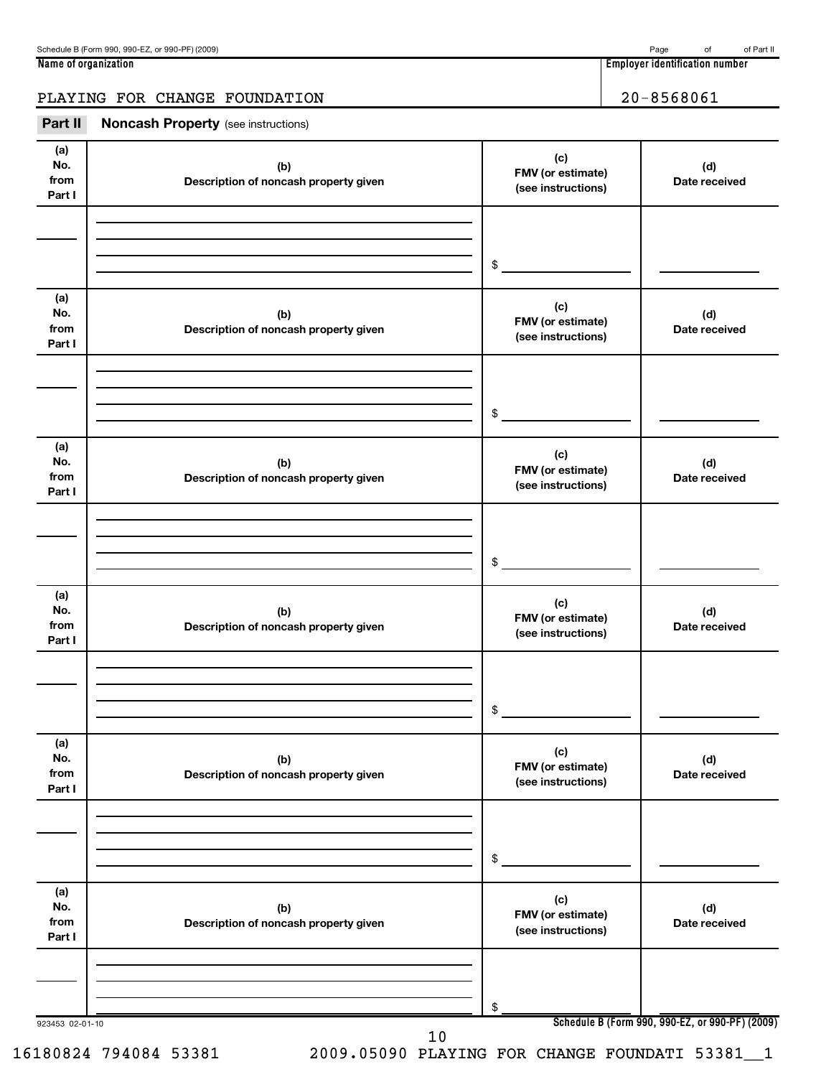**Name of organization Employer identification number**

# PLAYING FOR CHANGE FOUNDATION 20-8568061

| Part II                      | <b>Noncash Property</b> (see instructions)   |                                                |                                                 |
|------------------------------|----------------------------------------------|------------------------------------------------|-------------------------------------------------|
| (a)<br>No.<br>from<br>Part I | (b)<br>Description of noncash property given | (c)<br>FMV (or estimate)<br>(see instructions) | (d)<br>Date received                            |
|                              |                                              | \$                                             |                                                 |
| (a)<br>No.<br>from<br>Part I | (b)<br>Description of noncash property given | (c)<br>FMV (or estimate)<br>(see instructions) | (d)<br>Date received                            |
|                              |                                              | \$                                             |                                                 |
| (a)<br>No.<br>from<br>Part I | (b)<br>Description of noncash property given | (c)<br>FMV (or estimate)<br>(see instructions) | (d)<br>Date received                            |
|                              |                                              | \$                                             |                                                 |
| (a)<br>No.<br>from<br>Part I | (b)<br>Description of noncash property given | (c)<br>FMV (or estimate)<br>(see instructions) | (d)<br>Date received                            |
|                              |                                              | \$                                             |                                                 |
| (a)<br>No.<br>from<br>Part I | (b)<br>Description of noncash property given | (c)<br>FMV (or estimate)<br>(see instructions) | (d)<br>Date received                            |
|                              |                                              | \$                                             |                                                 |
| (a)<br>No.<br>from<br>Part I | (b)<br>Description of noncash property given | (c)<br>FMV (or estimate)<br>(see instructions) | (d)<br>Date received                            |
|                              |                                              | \$                                             |                                                 |
| 923453 02-01-10              | 10                                           |                                                | Schedule B (Form 990, 990-EZ, or 990-PF) (2009) |

16180824 794084 53381 2009.05090 PLAYING FOR CHANGE FOUNDATI 53381\_\_1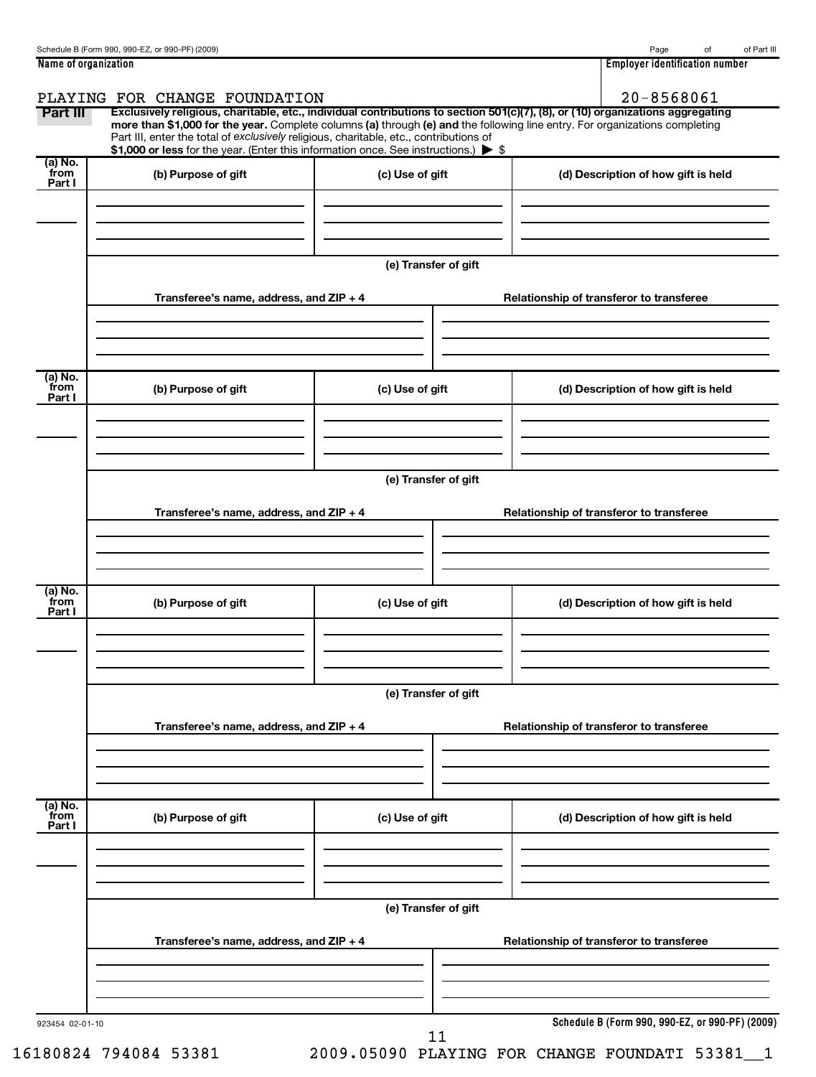| 1 1 1 1<br>Name<br>' organization<br>r identification number.<br>Emplover |  |
|---------------------------------------------------------------------------|--|
|                                                                           |  |

| Part III                    | PLAYING FOR CHANGE FOUNDATION                                                                                                                                                 |                      | 20-8568061<br>Exclusively religious, charitable, etc., individual contributions to section 501(c)(7), (8), or (10) organizations aggregating<br>more than \$1,000 for the year. Complete columns (a) through (e) and the following line entry. For organizations completing |
|-----------------------------|-------------------------------------------------------------------------------------------------------------------------------------------------------------------------------|----------------------|-----------------------------------------------------------------------------------------------------------------------------------------------------------------------------------------------------------------------------------------------------------------------------|
|                             | Part III, enter the total of exclusively religious, charitable, etc., contributions of<br>\$1,000 or less for the year. (Enter this information once. See instructions.) > \$ |                      |                                                                                                                                                                                                                                                                             |
| $(a)$ No.<br>from<br>Part I | (b) Purpose of gift                                                                                                                                                           | (c) Use of gift      | (d) Description of how gift is held                                                                                                                                                                                                                                         |
|                             |                                                                                                                                                                               |                      |                                                                                                                                                                                                                                                                             |
|                             |                                                                                                                                                                               | (e) Transfer of gift |                                                                                                                                                                                                                                                                             |
|                             | Transferee's name, address, and ZIP + 4                                                                                                                                       |                      | Relationship of transferor to transferee                                                                                                                                                                                                                                    |
| (a) No.                     |                                                                                                                                                                               |                      |                                                                                                                                                                                                                                                                             |
| from<br>Part I              | (b) Purpose of gift                                                                                                                                                           | (c) Use of gift      | (d) Description of how gift is held                                                                                                                                                                                                                                         |
|                             |                                                                                                                                                                               |                      |                                                                                                                                                                                                                                                                             |
|                             | Transferee's name, address, and ZIP + 4                                                                                                                                       | (e) Transfer of gift | Relationship of transferor to transferee                                                                                                                                                                                                                                    |
|                             |                                                                                                                                                                               |                      |                                                                                                                                                                                                                                                                             |
| (a) No.<br>from             | (b) Purpose of gift                                                                                                                                                           | (c) Use of gift      | (d) Description of how gift is held                                                                                                                                                                                                                                         |
| Part I                      |                                                                                                                                                                               |                      |                                                                                                                                                                                                                                                                             |
|                             |                                                                                                                                                                               | (e) Transfer of gift |                                                                                                                                                                                                                                                                             |
|                             | Transferee's name, address, and ZIP + 4                                                                                                                                       |                      | Relationship of transferor to transferee                                                                                                                                                                                                                                    |
|                             |                                                                                                                                                                               |                      |                                                                                                                                                                                                                                                                             |
| (a) No.<br>from<br>Part I   | (b) Purpose of gift                                                                                                                                                           | (c) Use of gift      | (d) Description of how gift is held                                                                                                                                                                                                                                         |
|                             |                                                                                                                                                                               |                      |                                                                                                                                                                                                                                                                             |
|                             |                                                                                                                                                                               | (e) Transfer of gift |                                                                                                                                                                                                                                                                             |
|                             | Transferee's name, address, and ZIP + 4                                                                                                                                       |                      | Relationship of transferor to transferee                                                                                                                                                                                                                                    |
|                             |                                                                                                                                                                               |                      |                                                                                                                                                                                                                                                                             |
| 923454 02-01-10             |                                                                                                                                                                               |                      | Schedule B (Form 990, 990-EZ, or 990-PF) (2009)                                                                                                                                                                                                                             |

16180824 794084 53381 2009.05090 PLAYING FOR CHANGE FOUNDATI 53381\_\_1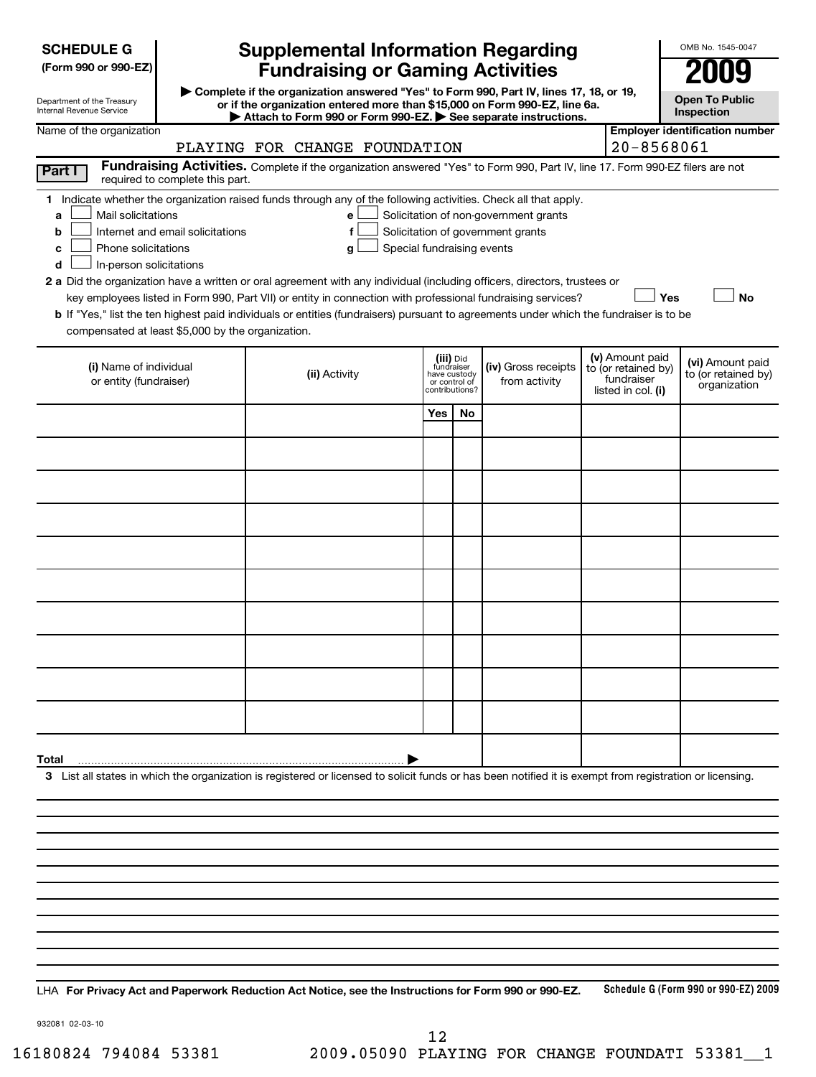**(Form 990 or 990-EZ)**

# **Supplemental Information Regarding Fundraising or Gaming Activities 2009**

OMB No. 1545-0047

| ▶ Complete if the organization answered "Yes" to Form 990, Part IV, lines 17, 18, or 19,<br>Department of the Treasury<br>or if the organization entered more than \$15,000 on Form 990-EZ, line 6a.<br>Internal Revenue Service<br>Attach to Form 990 or Form 990-EZ. See separate instructions. |                                  |  |               |                            |                               | <b>Open To Public</b><br>Inspection                                                                                           |                                        |                                     |
|---------------------------------------------------------------------------------------------------------------------------------------------------------------------------------------------------------------------------------------------------------------------------------------------------|----------------------------------|--|---------------|----------------------------|-------------------------------|-------------------------------------------------------------------------------------------------------------------------------|----------------------------------------|-------------------------------------|
| Name of the organization                                                                                                                                                                                                                                                                          |                                  |  |               |                            |                               |                                                                                                                               | <b>Employer identification number</b>  |                                     |
| 20-8568061<br>PLAYING FOR CHANGE FOUNDATION                                                                                                                                                                                                                                                       |                                  |  |               |                            |                               |                                                                                                                               |                                        |                                     |
| Part I                                                                                                                                                                                                                                                                                            | required to complete this part.  |  |               |                            |                               | Fundraising Activities. Complete if the organization answered "Yes" to Form 990, Part IV, line 17. Form 990-EZ filers are not |                                        |                                     |
| 1 Indicate whether the organization raised funds through any of the following activities. Check all that apply.                                                                                                                                                                                   |                                  |  |               |                            |                               |                                                                                                                               |                                        |                                     |
| Mail solicitations<br>а                                                                                                                                                                                                                                                                           |                                  |  | e             |                            |                               | Solicitation of non-government grants                                                                                         |                                        |                                     |
| b                                                                                                                                                                                                                                                                                                 | Internet and email solicitations |  | f             |                            |                               | Solicitation of government grants                                                                                             |                                        |                                     |
| Phone solicitations<br>c                                                                                                                                                                                                                                                                          |                                  |  | g             | Special fundraising events |                               |                                                                                                                               |                                        |                                     |
| In-person solicitations<br>d                                                                                                                                                                                                                                                                      |                                  |  |               |                            |                               |                                                                                                                               |                                        |                                     |
| 2 a Did the organization have a written or oral agreement with any individual (including officers, directors, trustees or                                                                                                                                                                         |                                  |  |               |                            |                               |                                                                                                                               |                                        |                                     |
|                                                                                                                                                                                                                                                                                                   |                                  |  |               |                            |                               | key employees listed in Form 990, Part VII) or entity in connection with professional fundraising services?                   | Yes                                    | No                                  |
| <b>b</b> If "Yes," list the ten highest paid individuals or entities (fundraisers) pursuant to agreements under which the fundraiser is to be<br>compensated at least \$5,000 by the organization.                                                                                                |                                  |  |               |                            |                               |                                                                                                                               |                                        |                                     |
|                                                                                                                                                                                                                                                                                                   |                                  |  |               |                            |                               |                                                                                                                               |                                        |                                     |
| (i) Name of individual                                                                                                                                                                                                                                                                            |                                  |  |               |                            | (iii) Did<br>fundraiser       | (iv) Gross receipts                                                                                                           | (v) Amount paid<br>to (or retained by) | (vi) Amount paid                    |
| or entity (fundraiser)                                                                                                                                                                                                                                                                            |                                  |  | (ii) Activity |                            | have custody<br>or control of | from activity                                                                                                                 | fundraiser                             | to (or retained by)<br>organization |
|                                                                                                                                                                                                                                                                                                   |                                  |  |               |                            | contributions?                |                                                                                                                               | listed in col. (i)                     |                                     |
|                                                                                                                                                                                                                                                                                                   |                                  |  |               | Yes                        | No                            |                                                                                                                               |                                        |                                     |
|                                                                                                                                                                                                                                                                                                   |                                  |  |               |                            |                               |                                                                                                                               |                                        |                                     |
|                                                                                                                                                                                                                                                                                                   |                                  |  |               |                            |                               |                                                                                                                               |                                        |                                     |
|                                                                                                                                                                                                                                                                                                   |                                  |  |               |                            |                               |                                                                                                                               |                                        |                                     |
|                                                                                                                                                                                                                                                                                                   |                                  |  |               |                            |                               |                                                                                                                               |                                        |                                     |
|                                                                                                                                                                                                                                                                                                   |                                  |  |               |                            |                               |                                                                                                                               |                                        |                                     |
|                                                                                                                                                                                                                                                                                                   |                                  |  |               |                            |                               |                                                                                                                               |                                        |                                     |
|                                                                                                                                                                                                                                                                                                   |                                  |  |               |                            |                               |                                                                                                                               |                                        |                                     |
|                                                                                                                                                                                                                                                                                                   |                                  |  |               |                            |                               |                                                                                                                               |                                        |                                     |
|                                                                                                                                                                                                                                                                                                   |                                  |  |               |                            |                               |                                                                                                                               |                                        |                                     |
|                                                                                                                                                                                                                                                                                                   |                                  |  |               |                            |                               |                                                                                                                               |                                        |                                     |
|                                                                                                                                                                                                                                                                                                   |                                  |  |               |                            |                               |                                                                                                                               |                                        |                                     |
|                                                                                                                                                                                                                                                                                                   |                                  |  |               |                            |                               |                                                                                                                               |                                        |                                     |
|                                                                                                                                                                                                                                                                                                   |                                  |  |               |                            |                               |                                                                                                                               |                                        |                                     |
|                                                                                                                                                                                                                                                                                                   |                                  |  |               |                            |                               |                                                                                                                               |                                        |                                     |
|                                                                                                                                                                                                                                                                                                   |                                  |  |               |                            |                               |                                                                                                                               |                                        |                                     |
|                                                                                                                                                                                                                                                                                                   |                                  |  |               |                            |                               |                                                                                                                               |                                        |                                     |
|                                                                                                                                                                                                                                                                                                   |                                  |  |               |                            |                               |                                                                                                                               |                                        |                                     |
|                                                                                                                                                                                                                                                                                                   |                                  |  |               |                            |                               |                                                                                                                               |                                        |                                     |
| Total                                                                                                                                                                                                                                                                                             |                                  |  |               |                            |                               |                                                                                                                               |                                        |                                     |
| 3 List all states in which the organization is registered or licensed to solicit funds or has been notified it is exempt from registration or licensing.                                                                                                                                          |                                  |  |               |                            |                               |                                                                                                                               |                                        |                                     |
|                                                                                                                                                                                                                                                                                                   |                                  |  |               |                            |                               |                                                                                                                               |                                        |                                     |
|                                                                                                                                                                                                                                                                                                   |                                  |  |               |                            |                               |                                                                                                                               |                                        |                                     |
|                                                                                                                                                                                                                                                                                                   |                                  |  |               |                            |                               |                                                                                                                               |                                        |                                     |
|                                                                                                                                                                                                                                                                                                   |                                  |  |               |                            |                               |                                                                                                                               |                                        |                                     |
|                                                                                                                                                                                                                                                                                                   |                                  |  |               |                            |                               |                                                                                                                               |                                        |                                     |
|                                                                                                                                                                                                                                                                                                   |                                  |  |               |                            |                               |                                                                                                                               |                                        |                                     |
|                                                                                                                                                                                                                                                                                                   |                                  |  |               |                            |                               |                                                                                                                               |                                        |                                     |

**Schedule G (Form 990 or 990-EZ) 2009 For Privacy Act and Paperwork Reduction Act Notice, see the Instructions for Form 990 or 990-EZ.** LHA

932081 02-03-10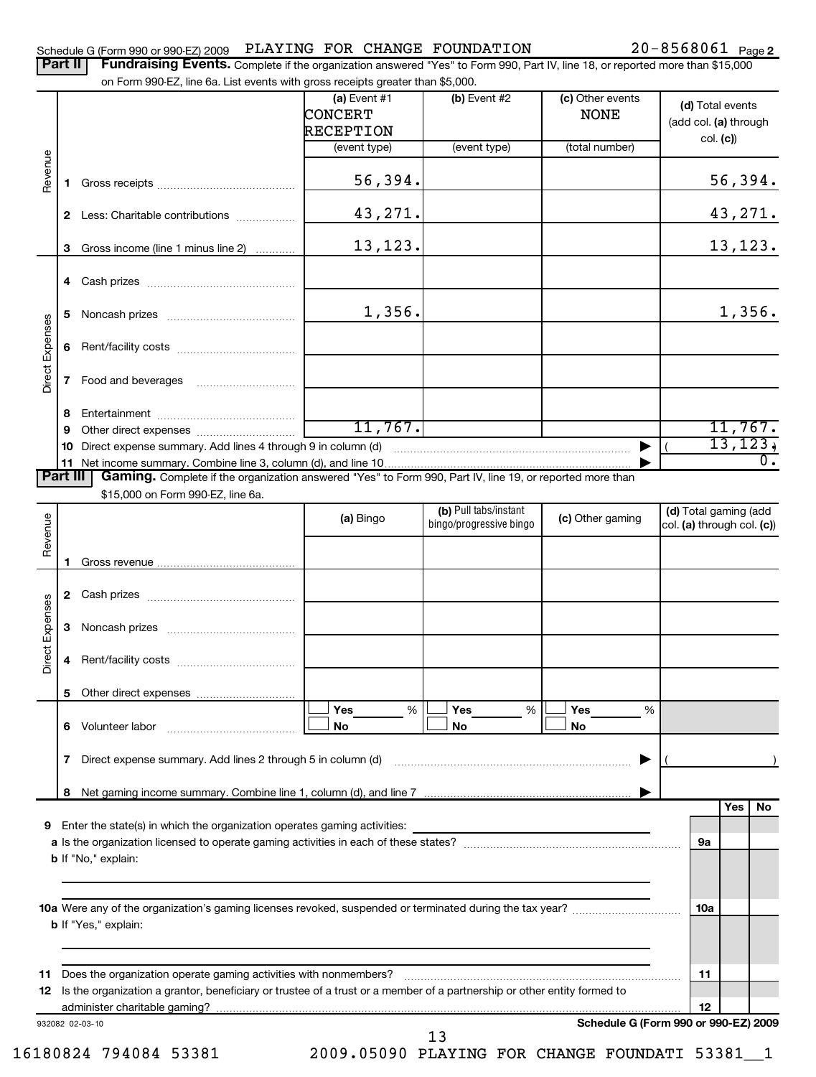|                 |                                                                                                                                                                                             | (a) Event #1                | $(b)$ Event #2                                   | (c) Other events | (d) Total events                                    |
|-----------------|---------------------------------------------------------------------------------------------------------------------------------------------------------------------------------------------|-----------------------------|--------------------------------------------------|------------------|-----------------------------------------------------|
|                 |                                                                                                                                                                                             | <b>CONCERT</b><br>RECEPTION |                                                  | <b>NONE</b>      | (add col. (a) through<br>col. (c))                  |
|                 |                                                                                                                                                                                             | (event type)                | (event type)                                     | (total number)   |                                                     |
| Revenue         | 1.                                                                                                                                                                                          | 56,394.                     |                                                  |                  | 56,394.                                             |
|                 | 2 Less: Charitable contributions                                                                                                                                                            | 43,271.                     |                                                  |                  | 43, 271.                                            |
|                 | Gross income (line 1 minus line 2)<br>3                                                                                                                                                     | 13,123.                     |                                                  |                  | 13,123.                                             |
|                 |                                                                                                                                                                                             |                             |                                                  |                  |                                                     |
|                 | 5                                                                                                                                                                                           | 1,356.                      |                                                  |                  | 1,356.                                              |
| Direct Expenses | 6                                                                                                                                                                                           |                             |                                                  |                  |                                                     |
|                 | 7                                                                                                                                                                                           |                             |                                                  |                  |                                                     |
|                 | 8                                                                                                                                                                                           |                             |                                                  |                  |                                                     |
|                 | 9                                                                                                                                                                                           | 11,767.                     |                                                  |                  | 11,767.<br>13, 123,                                 |
|                 | 10                                                                                                                                                                                          |                             |                                                  | ▶                |                                                     |
|                 | Part III<br>Gaming. Complete if the organization answered "Yes" to Form 990, Part IV, line 19, or reported more than                                                                        |                             |                                                  |                  |                                                     |
|                 | \$15,000 on Form 990-EZ, line 6a.                                                                                                                                                           |                             |                                                  |                  |                                                     |
|                 |                                                                                                                                                                                             | (a) Bingo                   | (b) Pull tabs/instant<br>bingo/progressive bingo | (c) Other gaming | (d) Total gaming (add<br>col. (a) through col. (c)) |
| Revenue         |                                                                                                                                                                                             |                             |                                                  |                  |                                                     |
|                 | 1.                                                                                                                                                                                          |                             |                                                  |                  |                                                     |
|                 |                                                                                                                                                                                             |                             |                                                  |                  |                                                     |
|                 |                                                                                                                                                                                             |                             |                                                  |                  |                                                     |
|                 | 3                                                                                                                                                                                           |                             |                                                  |                  |                                                     |
| Direct Expenses | 4                                                                                                                                                                                           |                             |                                                  |                  |                                                     |
|                 |                                                                                                                                                                                             |                             |                                                  |                  |                                                     |
|                 | 5                                                                                                                                                                                           | Yes<br>%                    | <b>Yes</b><br>%                                  | Yes<br>%         |                                                     |
|                 | 6 Volunteer labor                                                                                                                                                                           | No                          | No                                               | No               |                                                     |
|                 | Direct expense summary. Add lines 2 through 5 in column (d)<br>7                                                                                                                            |                             |                                                  |                  |                                                     |
|                 | 8                                                                                                                                                                                           |                             |                                                  |                  |                                                     |
|                 |                                                                                                                                                                                             |                             |                                                  |                  | Yes                                                 |
|                 | Enter the state(s) in which the organization operates gaming activities:                                                                                                                    |                             |                                                  |                  |                                                     |
|                 |                                                                                                                                                                                             |                             |                                                  |                  | 9а                                                  |
|                 | <b>b</b> If "No," explain:                                                                                                                                                                  |                             |                                                  |                  |                                                     |
|                 |                                                                                                                                                                                             |                             |                                                  |                  |                                                     |
|                 |                                                                                                                                                                                             |                             |                                                  |                  |                                                     |
|                 | <b>b</b> If "Yes," explain:                                                                                                                                                                 |                             |                                                  |                  | <b>10a</b>                                          |
|                 |                                                                                                                                                                                             |                             |                                                  |                  |                                                     |
| 11<br>12        | Does the organization operate gaming activities with nonmembers?<br>Is the organization a grantor, beneficiary or trustee of a trust or a member of a partnership or other entity formed to |                             |                                                  |                  | 11<br>12                                            |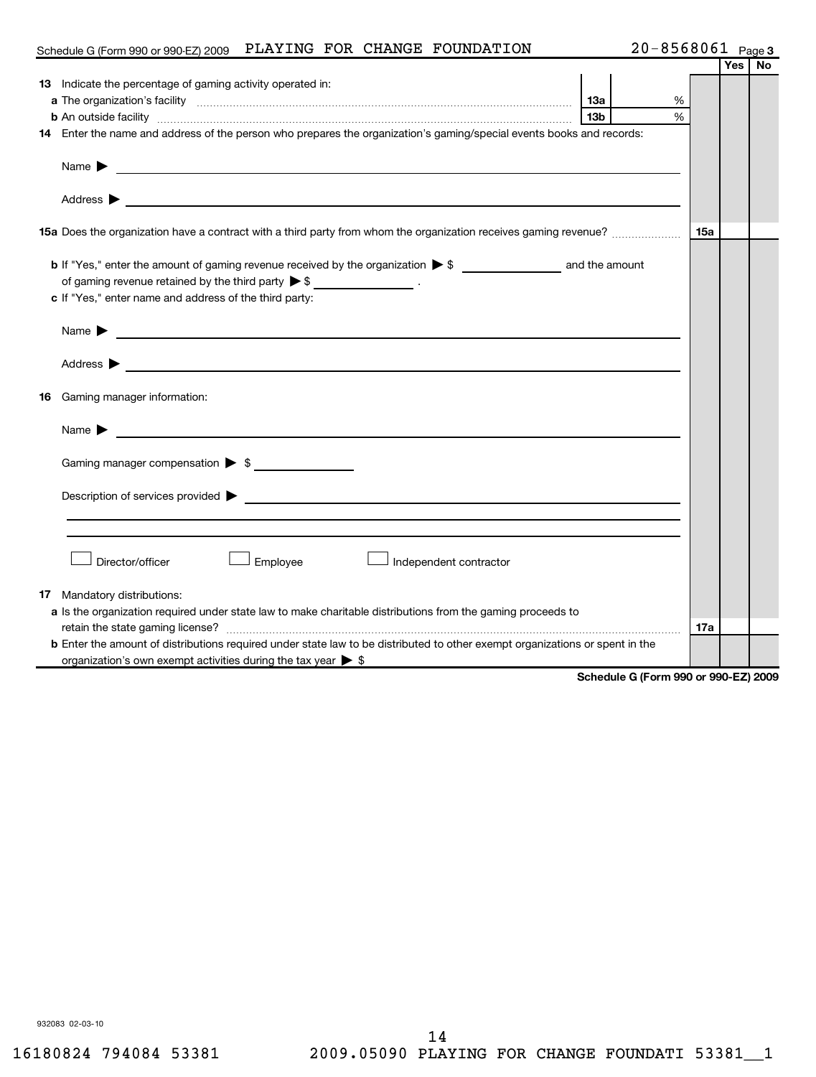### Schedule G (Form 990 or 990-EZ) 2009 PLAYING FOR CHANGE FOUNDATION  $20-8568061$  Page

### **3**

|                                                                                                                                          |                                     |            | Yes | No |
|------------------------------------------------------------------------------------------------------------------------------------------|-------------------------------------|------------|-----|----|
| 13 Indicate the percentage of gaming activity operated in:                                                                               |                                     |            |     |    |
|                                                                                                                                          | 13а<br>%                            |            |     |    |
|                                                                                                                                          | 13 <sub>b</sub><br>$\frac{0}{6}$    |            |     |    |
| 14 Enter the name and address of the person who prepares the organization's gaming/special events books and records:                     |                                     |            |     |    |
| Name $\blacktriangleright$                                                                                                               |                                     |            |     |    |
| Address $\blacktriangleright$ $\_\_$                                                                                                     |                                     |            |     |    |
| 15a Does the organization have a contract with a third party from whom the organization receives gaming revenue?                         |                                     | <b>15a</b> |     |    |
| b If "Yes," enter the amount of gaming revenue received by the organization > \$ ________________ and the amount                         |                                     |            |     |    |
| of gaming revenue retained by the third party $\triangleright$ \$ _______________________.                                               |                                     |            |     |    |
| c If "Yes," enter name and address of the third party:                                                                                   |                                     |            |     |    |
|                                                                                                                                          |                                     |            |     |    |
| Name $\blacktriangleright$<br><u> 1989 - Johann Barbara, martxa alemaniar arg</u>                                                        |                                     |            |     |    |
|                                                                                                                                          |                                     |            |     |    |
|                                                                                                                                          |                                     |            |     |    |
| 16 Gaming manager information:                                                                                                           |                                     |            |     |    |
| Name $\blacktriangleright$                                                                                                               |                                     |            |     |    |
|                                                                                                                                          |                                     |            |     |    |
| Gaming manager compensation > \$                                                                                                         |                                     |            |     |    |
|                                                                                                                                          |                                     |            |     |    |
| Description of services provided <b>Description of services provided Description of services</b> provided <b>Description of services</b> |                                     |            |     |    |
|                                                                                                                                          |                                     |            |     |    |
|                                                                                                                                          |                                     |            |     |    |
| Director/officer<br>Employee<br>Independent contractor                                                                                   |                                     |            |     |    |
| <b>17</b> Mandatory distributions:                                                                                                       |                                     |            |     |    |
| a Is the organization required under state law to make charitable distributions from the gaming proceeds to                              |                                     |            |     |    |
|                                                                                                                                          |                                     | 17a        |     |    |
| <b>b</b> Enter the amount of distributions required under state law to be distributed to other exempt organizations or spent in the      |                                     |            |     |    |
| organization's own exempt activities during the tax year $\triangleright$ \$                                                             |                                     |            |     |    |
|                                                                                                                                          | 0-1-1-1-0 (F = --- 000 = - 000 F.T) |            |     |    |

**Schedule G (Form 990 or 990-EZ) 2009**

932083 02-03-10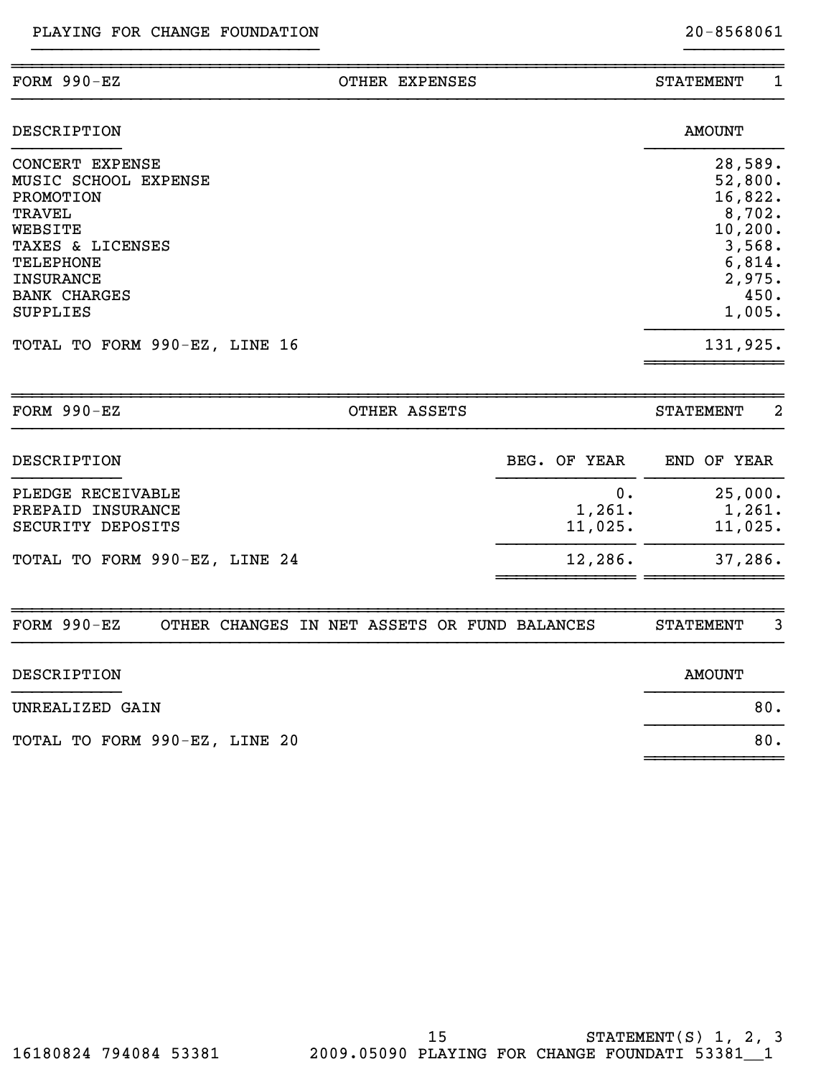| PLAYING FOR CHANGE FOUNDATION                                                                                                                                                                                                  |                         | 20-8568061                                                                                              |                |
|--------------------------------------------------------------------------------------------------------------------------------------------------------------------------------------------------------------------------------|-------------------------|---------------------------------------------------------------------------------------------------------|----------------|
| <b>FORM 990-EZ</b><br>OTHER EXPENSES                                                                                                                                                                                           |                         | <b>STATEMENT</b>                                                                                        | $\mathbf{1}$   |
| DESCRIPTION                                                                                                                                                                                                                    |                         | <b>AMOUNT</b>                                                                                           |                |
| <b>CONCERT EXPENSE</b><br>MUSIC SCHOOL EXPENSE<br>PROMOTION<br><b>TRAVEL</b><br>WEBSITE<br>TAXES & LICENSES<br><b>TELEPHONE</b><br><b>INSURANCE</b><br><b>BANK CHARGES</b><br><b>SUPPLIES</b><br>TOTAL TO FORM 990-EZ, LINE 16 |                         | 28,589.<br>52,800.<br>16,822.<br>8,702.<br>10, 200.<br>3,568.<br>6,814.<br>2,975.<br>1,005.<br>131,925. | 450.           |
|                                                                                                                                                                                                                                |                         |                                                                                                         |                |
| <b>FORM 990-EZ</b><br>OTHER ASSETS                                                                                                                                                                                             |                         | <b>STATEMENT</b>                                                                                        | $\overline{a}$ |
| DESCRIPTION                                                                                                                                                                                                                    | BEG. OF YEAR            | END OF YEAR                                                                                             |                |
| PLEDGE RECEIVABLE<br>PREPAID INSURANCE<br>SECURITY DEPOSITS                                                                                                                                                                    | 0.<br>1,261.<br>11,025. | 25,000.<br>1,261.<br>11,025.                                                                            |                |
| TOTAL TO FORM 990-EZ, LINE 24                                                                                                                                                                                                  | 12,286.                 | 37,286.                                                                                                 |                |
| FORM 990-EZ<br>OTHER CHANGES IN NET ASSETS OR FUND BALANCES                                                                                                                                                                    |                         | <b>STATEMENT</b>                                                                                        | 3              |
| DESCRIPTION                                                                                                                                                                                                                    |                         | <b>AMOUNT</b>                                                                                           |                |
| UNREALIZED GAIN                                                                                                                                                                                                                |                         |                                                                                                         | 80.            |
| TOTAL TO FORM 990-EZ, LINE 20                                                                                                                                                                                                  |                         |                                                                                                         | 80.            |
|                                                                                                                                                                                                                                |                         |                                                                                                         |                |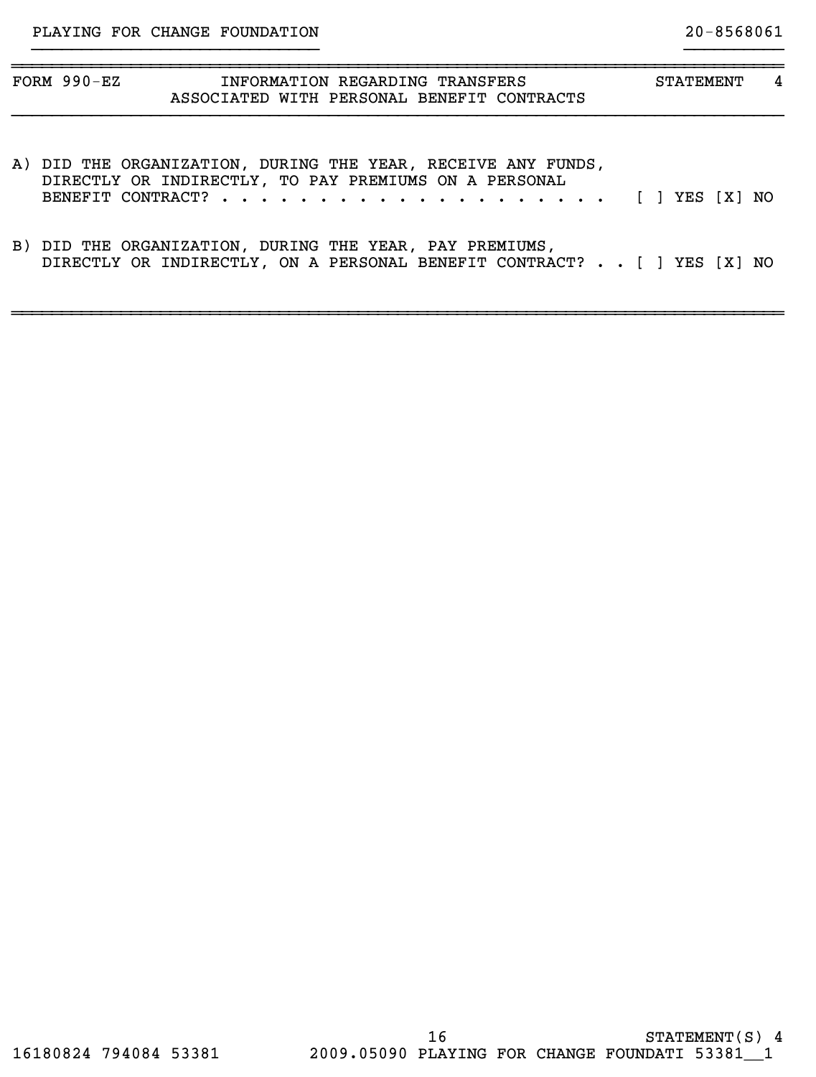| $FORM 990 - EZ$ | INFORMATION REGARDING TRANSFERS<br>ASSOCIATED WITH PERSONAL BENEFIT CONTRACTS                                         | <b>STATEMENT</b> | 4 |
|-----------------|-----------------------------------------------------------------------------------------------------------------------|------------------|---|
|                 | A) DID THE ORGANIZATION, DURING THE YEAR, RECEIVE ANY FUNDS,<br>DIRECTLY OR INDIRECTLY, TO PAY PREMIUMS ON A PERSONAL |                  |   |

}}}}}}}}}}}}}}}}}}}}}}}}}}}}} }}}}}}}}}}

|  |  | B) DID THE ORGANIZATION, DURING THE YEAR, PAY PREMIUMS, |  |  |  |                                                                        |  |  |  |
|--|--|---------------------------------------------------------|--|--|--|------------------------------------------------------------------------|--|--|--|
|  |  |                                                         |  |  |  | DIRECTLY OR INDIRECTLY, ON A PERSONAL BENEFIT CONTRACT? [ ] YES [X] NO |  |  |  |

~~~~~~~~~~~~~~~~~~~~~~~~~~~~~~~~~~~~~~~~~~~~~~~~~~~~~~~~~~~~~~~~~~~~~~~~~~~~~~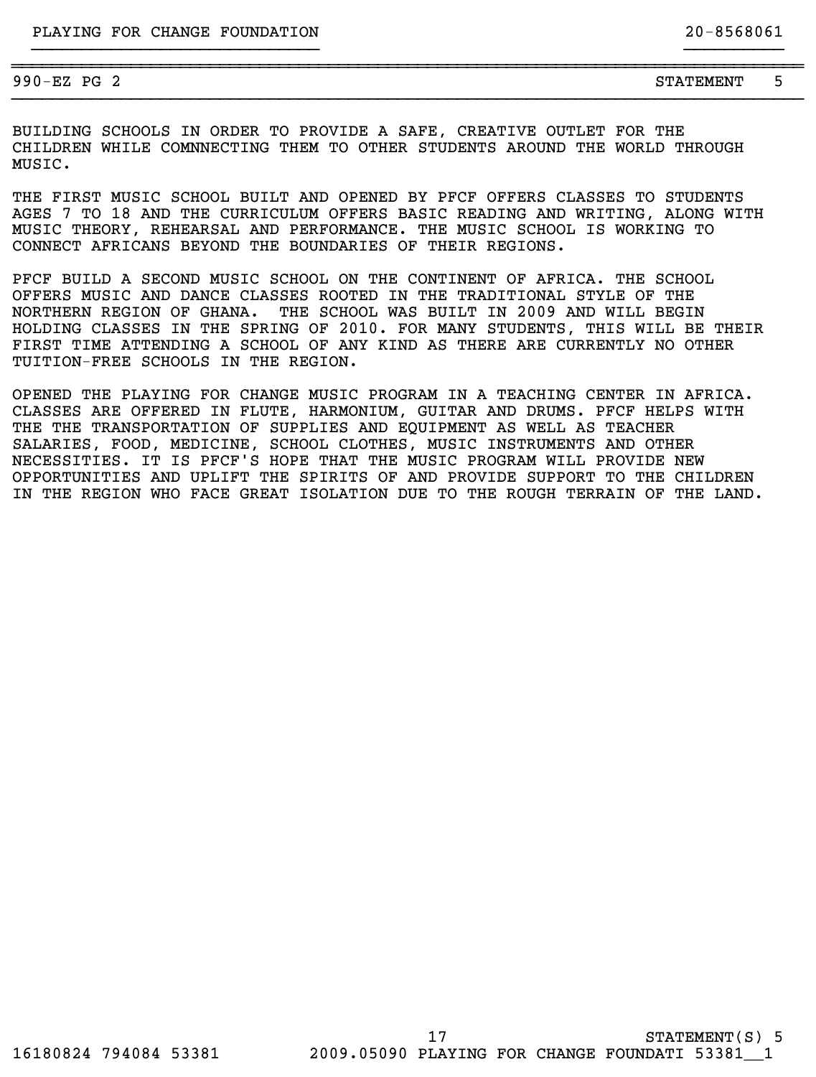990-EZ PG 2 STATEMENT 5

BUILDING SCHOOLS IN ORDER TO PROVIDE A SAFE, CREATIVE OUTLET FOR THE CHILDREN WHILE COMNNECTING THEM TO OTHER STUDENTS AROUND THE WORLD THROUGH MUSIC.

}}}}}}}}}}}}}}}}}}}}}}}}}}}}} }}}}}}}}}} ~~~~~~~~~~~~~~~~~~~~~~~~~~~~~~~~~~~~~~~~~~~~~~~~~~~~~~~~~~~~~~~~~~~~~~~~~~~~~~~~

}}}}}}}}}}}}}}}}}}}}}}}}}}}}}}}}}}}}}}}}}}}}}}}}}}}}}}}}}}}}}}}}}}}}}}}}}}}}}}}}

THE FIRST MUSIC SCHOOL BUILT AND OPENED BY PFCF OFFERS CLASSES TO STUDENTS AGES 7 TO 18 AND THE CURRICULUM OFFERS BASIC READING AND WRITING, ALONG WITH MUSIC THEORY, REHEARSAL AND PERFORMANCE. THE MUSIC SCHOOL IS WORKING TO CONNECT AFRICANS BEYOND THE BOUNDARIES OF THEIR REGIONS.

PFCF BUILD A SECOND MUSIC SCHOOL ON THE CONTINENT OF AFRICA. THE SCHOOL OFFERS MUSIC AND DANCE CLASSES ROOTED IN THE TRADITIONAL STYLE OF THE NORTHERN REGION OF GHANA. THE SCHOOL WAS BUILT IN 2009 AND WILL BEGIN HOLDING CLASSES IN THE SPRING OF 2010. FOR MANY STUDENTS, THIS WILL BE THEIR FIRST TIME ATTENDING A SCHOOL OF ANY KIND AS THERE ARE CURRENTLY NO OTHER TUITION-FREE SCHOOLS IN THE REGION.

OPENED THE PLAYING FOR CHANGE MUSIC PROGRAM IN A TEACHING CENTER IN AFRICA. CLASSES ARE OFFERED IN FLUTE, HARMONIUM, GUITAR AND DRUMS. PFCF HELPS WITH THE THE TRANSPORTATION OF SUPPLIES AND EQUIPMENT AS WELL AS TEACHER SALARIES, FOOD, MEDICINE, SCHOOL CLOTHES, MUSIC INSTRUMENTS AND OTHER NECESSITIES. IT IS PFCF'S HOPE THAT THE MUSIC PROGRAM WILL PROVIDE NEW OPPORTUNITIES AND UPLIFT THE SPIRITS OF AND PROVIDE SUPPORT TO THE CHILDREN IN THE REGION WHO FACE GREAT ISOLATION DUE TO THE ROUGH TERRAIN OF THE LAND.